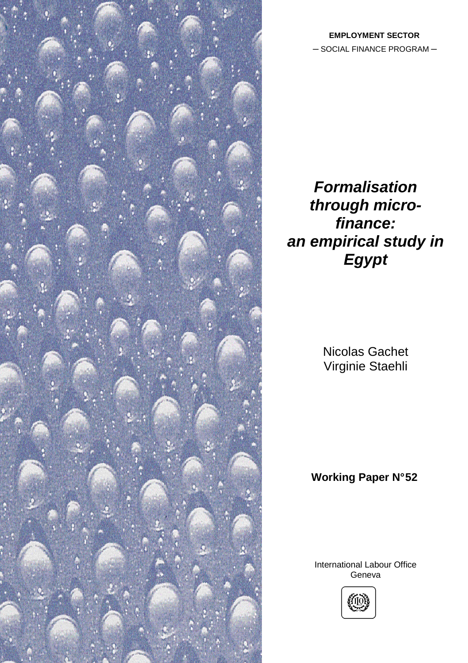

 **EMPLOYMENT SECTOR**  ─ SOCIAL FINANCE PROGRAM ─

**Formalisation through microfinance: an empirical study in Egypt** 

> Nicolas Gachet Virginie Staehli

**Working Paper N° 52** 

International Labour Office Geneva

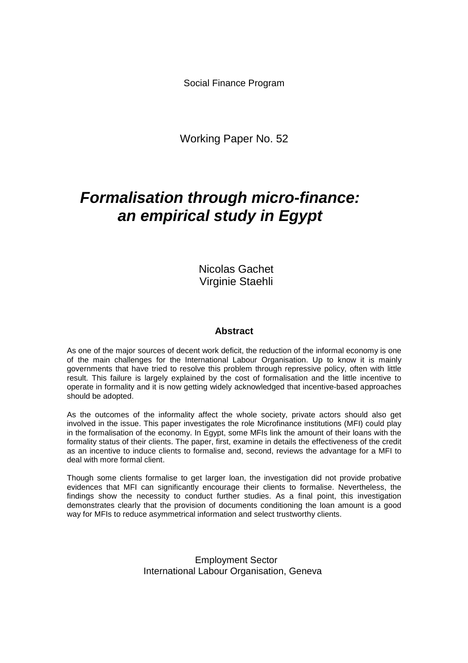Social Finance Program

Working Paper No. 52

# **Formalisation through micro-finance: an empirical study in Egypt**

Nicolas Gachet Virginie Staehli

### **Abstract**

As one of the major sources of decent work deficit, the reduction of the informal economy is one of the main challenges for the International Labour Organisation. Up to know it is mainly governments that have tried to resolve this problem through repressive policy, often with little result. This failure is largely explained by the cost of formalisation and the little incentive to operate in formality and it is now getting widely acknowledged that incentive-based approaches should be adopted.

As the outcomes of the informality affect the whole society, private actors should also get involved in the issue. This paper investigates the role Microfinance institutions (MFI) could play in the formalisation of the economy. In Egypt, some MFIs link the amount of their loans with the formality status of their clients. The paper, first, examine in details the effectiveness of the credit as an incentive to induce clients to formalise and, second, reviews the advantage for a MFI to deal with more formal client.

Though some clients formalise to get larger loan, the investigation did not provide probative evidences that MFI can significantly encourage their clients to formalise. Nevertheless, the findings show the necessity to conduct further studies. As a final point, this investigation demonstrates clearly that the provision of documents conditioning the loan amount is a good way for MFIs to reduce asymmetrical information and select trustworthy clients.

> Employment Sector International Labour Organisation, Geneva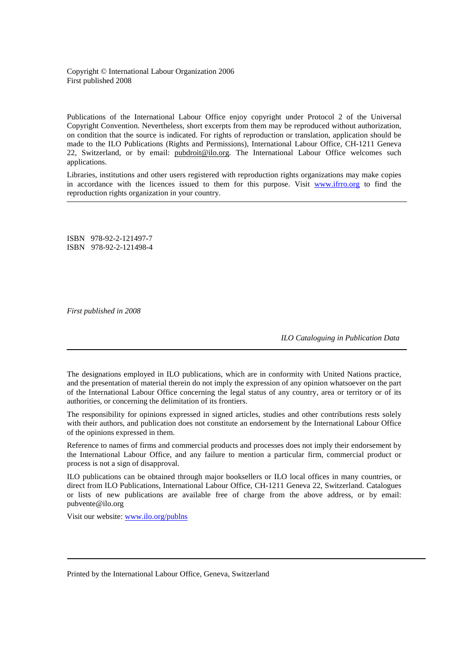Copyright © International Labour Organization 2006 First published 2008

Publications of the International Labour Office enjoy copyright under Protocol 2 of the Universal Copyright Convention. Nevertheless, short excerpts from them may be reproduced without authorization, on condition that the source is indicated. For rights of reproduction or translation, application should be made to the ILO Publications (Rights and Permissions), International Labour Office, CH-1211 Geneva 22, Switzerland, or by email: pubdroit@ilo.org. The International Labour Office welcomes such applications.

Libraries, institutions and other users registered with reproduction rights organizations may make copies in accordance with the licences issued to them for this purpose. Visit www.ifrro.org to find the reproduction rights organization in your country.

ISBN 978-92-2-121497-7 ISBN 978-92-2-121498-4

*First published in 2008* 

*ILO Cataloguing in Publication Data*

The designations employed in ILO publications, which are in conformity with United Nations practice, and the presentation of material therein do not imply the expression of any opinion whatsoever on the part of the International Labour Office concerning the legal status of any country, area or territory or of its authorities, or concerning the delimitation of its frontiers.

The responsibility for opinions expressed in signed articles, studies and other contributions rests solely with their authors, and publication does not constitute an endorsement by the International Labour Office of the opinions expressed in them.

Reference to names of firms and commercial products and processes does not imply their endorsement by the International Labour Office, and any failure to mention a particular firm, commercial product or process is not a sign of disapproval.

ILO publications can be obtained through major booksellers or ILO local offices in many countries, or direct from ILO Publications, International Labour Office, CH-1211 Geneva 22, Switzerland. Catalogues or lists of new publications are available free of charge from the above address, or by email: pubvente@ilo.org

Visit our website: www.ilo.org/publns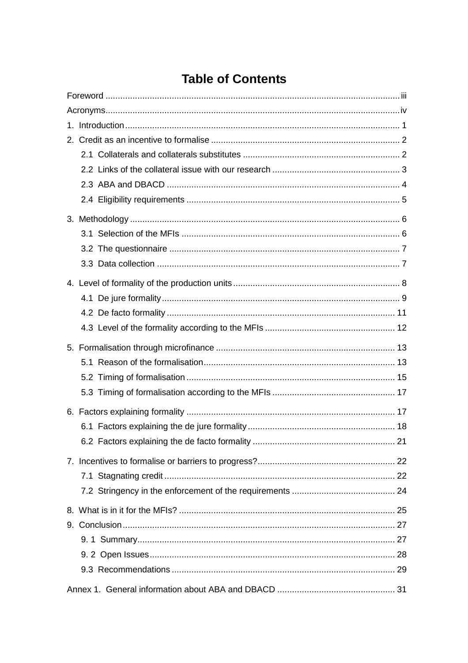## **Table of Contents**

|  | 21 |
|--|----|
|  |    |
|  |    |
|  |    |
|  |    |
|  |    |
|  |    |
|  |    |
|  |    |
|  |    |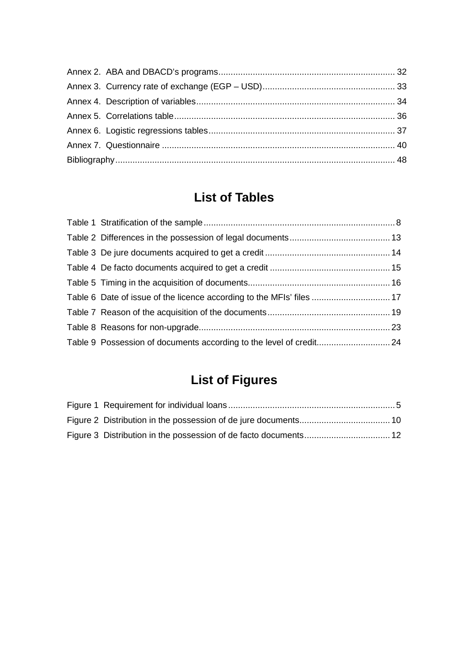# **List of Tables**

# **List of Figures**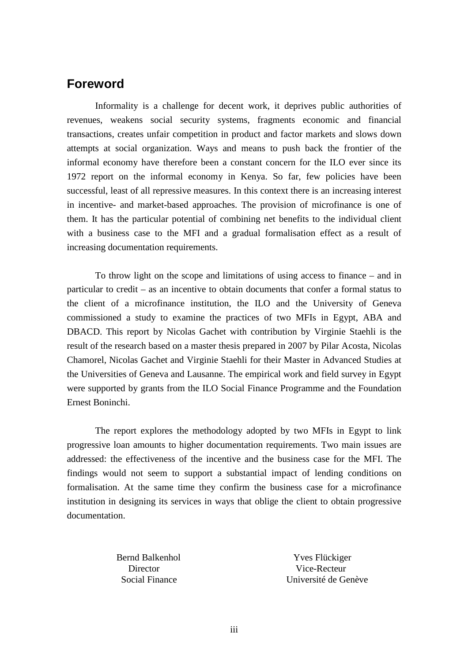## **Foreword**

Informality is a challenge for decent work, it deprives public authorities of revenues, weakens social security systems, fragments economic and financial transactions, creates unfair competition in product and factor markets and slows down attempts at social organization. Ways and means to push back the frontier of the informal economy have therefore been a constant concern for the ILO ever since its 1972 report on the informal economy in Kenya. So far, few policies have been successful, least of all repressive measures. In this context there is an increasing interest in incentive- and market-based approaches. The provision of microfinance is one of them. It has the particular potential of combining net benefits to the individual client with a business case to the MFI and a gradual formalisation effect as a result of increasing documentation requirements.

To throw light on the scope and limitations of using access to finance – and in particular to credit – as an incentive to obtain documents that confer a formal status to the client of a microfinance institution, the ILO and the University of Geneva commissioned a study to examine the practices of two MFIs in Egypt, ABA and DBACD. This report by Nicolas Gachet with contribution by Virginie Staehli is the result of the research based on a master thesis prepared in 2007 by Pilar Acosta, Nicolas Chamorel, Nicolas Gachet and Virginie Staehli for their Master in Advanced Studies at the Universities of Geneva and Lausanne. The empirical work and field survey in Egypt were supported by grants from the ILO Social Finance Programme and the Foundation Ernest Boninchi.

The report explores the methodology adopted by two MFIs in Egypt to link progressive loan amounts to higher documentation requirements. Two main issues are addressed: the effectiveness of the incentive and the business case for the MFI. The findings would not seem to support a substantial impact of lending conditions on formalisation. At the same time they confirm the business case for a microfinance institution in designing its services in ways that oblige the client to obtain progressive documentation.

> Bernd Balkenhol Yves Flückiger Director Vice-Recteur

Social Finance Université de Genève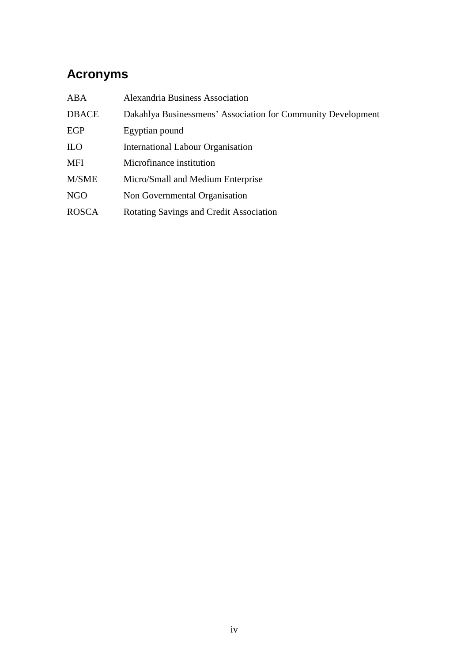## **Acronyms**

| Alexandria Business Association                              |
|--------------------------------------------------------------|
| Dakahlya Businessmens' Association for Community Development |
| Egyptian pound                                               |
| <b>International Labour Organisation</b>                     |
| Microfinance institution                                     |
| Micro/Small and Medium Enterprise                            |
| Non Governmental Organisation                                |
| Rotating Savings and Credit Association                      |
|                                                              |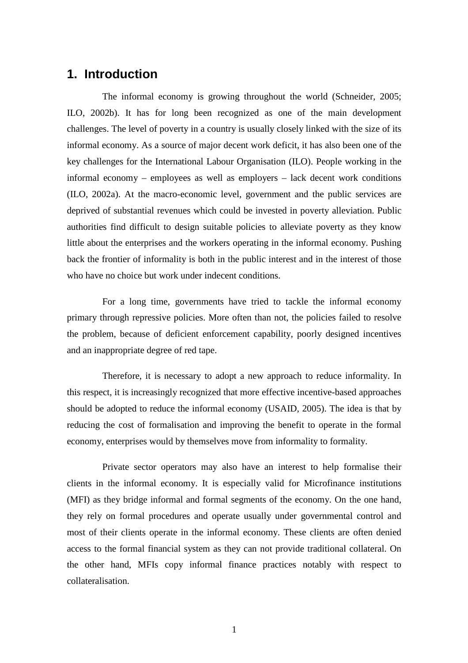### **1. Introduction**

The informal economy is growing throughout the world (Schneider, 2005; ILO, 2002b). It has for long been recognized as one of the main development challenges. The level of poverty in a country is usually closely linked with the size of its informal economy. As a source of major decent work deficit, it has also been one of the key challenges for the International Labour Organisation (ILO). People working in the informal economy – employees as well as employers – lack decent work conditions (ILO, 2002a). At the macro-economic level, government and the public services are deprived of substantial revenues which could be invested in poverty alleviation. Public authorities find difficult to design suitable policies to alleviate poverty as they know little about the enterprises and the workers operating in the informal economy. Pushing back the frontier of informality is both in the public interest and in the interest of those who have no choice but work under indecent conditions.

For a long time, governments have tried to tackle the informal economy primary through repressive policies. More often than not, the policies failed to resolve the problem, because of deficient enforcement capability, poorly designed incentives and an inappropriate degree of red tape.

Therefore, it is necessary to adopt a new approach to reduce informality. In this respect, it is increasingly recognized that more effective incentive-based approaches should be adopted to reduce the informal economy (USAID, 2005). The idea is that by reducing the cost of formalisation and improving the benefit to operate in the formal economy, enterprises would by themselves move from informality to formality.

Private sector operators may also have an interest to help formalise their clients in the informal economy. It is especially valid for Microfinance institutions (MFI) as they bridge informal and formal segments of the economy. On the one hand, they rely on formal procedures and operate usually under governmental control and most of their clients operate in the informal economy. These clients are often denied access to the formal financial system as they can not provide traditional collateral. On the other hand, MFIs copy informal finance practices notably with respect to collateralisation.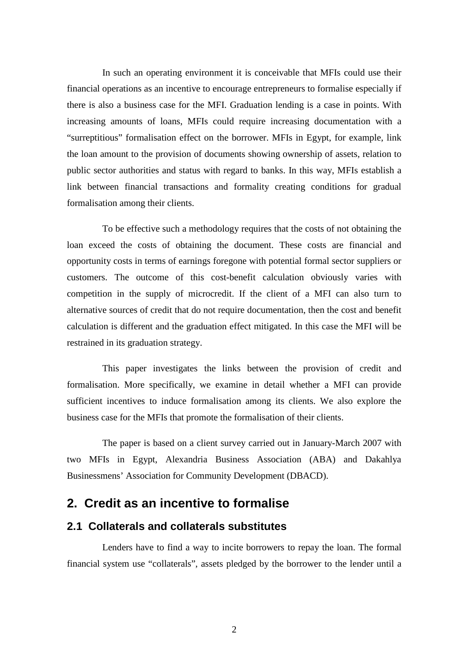In such an operating environment it is conceivable that MFIs could use their financial operations as an incentive to encourage entrepreneurs to formalise especially if there is also a business case for the MFI. Graduation lending is a case in points. With increasing amounts of loans, MFIs could require increasing documentation with a "surreptitious" formalisation effect on the borrower. MFIs in Egypt, for example, link the loan amount to the provision of documents showing ownership of assets, relation to public sector authorities and status with regard to banks. In this way, MFIs establish a link between financial transactions and formality creating conditions for gradual formalisation among their clients.

To be effective such a methodology requires that the costs of not obtaining the loan exceed the costs of obtaining the document. These costs are financial and opportunity costs in terms of earnings foregone with potential formal sector suppliers or customers. The outcome of this cost-benefit calculation obviously varies with competition in the supply of microcredit. If the client of a MFI can also turn to alternative sources of credit that do not require documentation, then the cost and benefit calculation is different and the graduation effect mitigated. In this case the MFI will be restrained in its graduation strategy.

This paper investigates the links between the provision of credit and formalisation. More specifically, we examine in detail whether a MFI can provide sufficient incentives to induce formalisation among its clients. We also explore the business case for the MFIs that promote the formalisation of their clients.

The paper is based on a client survey carried out in January-March 2007 with two MFIs in Egypt, Alexandria Business Association (ABA) and Dakahlya Businessmens' Association for Community Development (DBACD).

### **2. Credit as an incentive to formalise**

### **2.1 Collaterals and collaterals substitutes**

Lenders have to find a way to incite borrowers to repay the loan. The formal financial system use "collaterals", assets pledged by the borrower to the lender until a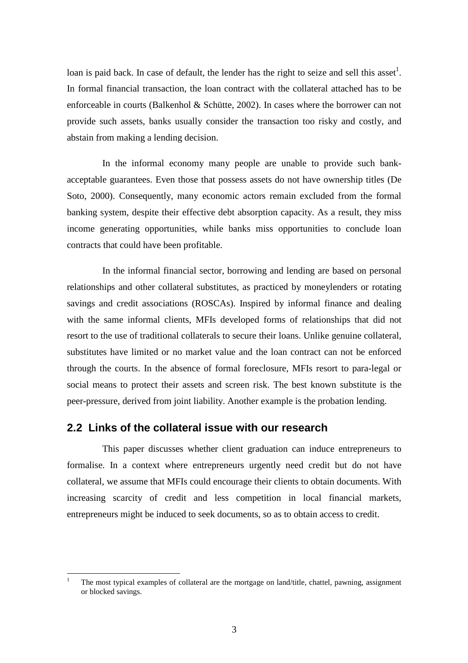loan is paid back. In case of default, the lender has the right to seize and sell this asset<sup>1</sup>. In formal financial transaction, the loan contract with the collateral attached has to be enforceable in courts (Balkenhol & Schütte, 2002). In cases where the borrower can not provide such assets, banks usually consider the transaction too risky and costly, and abstain from making a lending decision.

In the informal economy many people are unable to provide such bankacceptable guarantees. Even those that possess assets do not have ownership titles (De Soto, 2000). Consequently, many economic actors remain excluded from the formal banking system, despite their effective debt absorption capacity. As a result, they miss income generating opportunities, while banks miss opportunities to conclude loan contracts that could have been profitable.

In the informal financial sector, borrowing and lending are based on personal relationships and other collateral substitutes, as practiced by moneylenders or rotating savings and credit associations (ROSCAs). Inspired by informal finance and dealing with the same informal clients, MFIs developed forms of relationships that did not resort to the use of traditional collaterals to secure their loans. Unlike genuine collateral, substitutes have limited or no market value and the loan contract can not be enforced through the courts. In the absence of formal foreclosure, MFIs resort to para-legal or social means to protect their assets and screen risk. The best known substitute is the peer-pressure, derived from joint liability. Another example is the probation lending.

### **2.2 Links of the collateral issue with our research**

 $\overline{a}$ 

This paper discusses whether client graduation can induce entrepreneurs to formalise. In a context where entrepreneurs urgently need credit but do not have collateral, we assume that MFIs could encourage their clients to obtain documents. With increasing scarcity of credit and less competition in local financial markets, entrepreneurs might be induced to seek documents, so as to obtain access to credit.

<sup>1</sup> The most typical examples of collateral are the mortgage on land/title, chattel, pawning, assignment or blocked savings.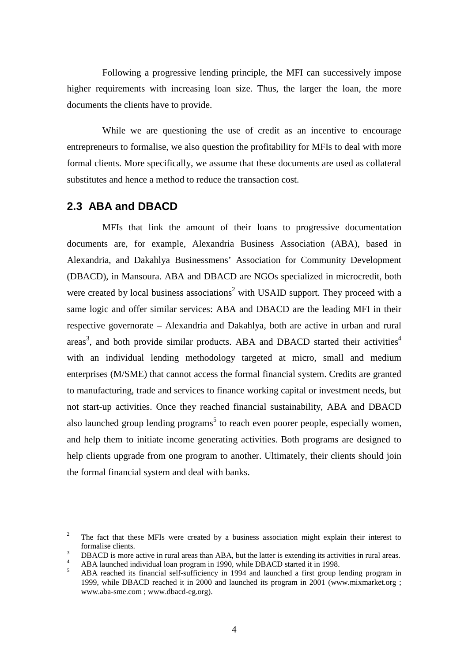Following a progressive lending principle, the MFI can successively impose higher requirements with increasing loan size. Thus, the larger the loan, the more documents the clients have to provide.

While we are questioning the use of credit as an incentive to encourage entrepreneurs to formalise, we also question the profitability for MFIs to deal with more formal clients. More specifically, we assume that these documents are used as collateral substitutes and hence a method to reduce the transaction cost.

### **2.3 ABA and DBACD**

MFIs that link the amount of their loans to progressive documentation documents are, for example, Alexandria Business Association (ABA), based in Alexandria, and Dakahlya Businessmens' Association for Community Development (DBACD), in Mansoura. ABA and DBACD are NGOs specialized in microcredit, both were created by local business associations<sup>2</sup> with USAID support. They proceed with a same logic and offer similar services: ABA and DBACD are the leading MFI in their respective governorate – Alexandria and Dakahlya, both are active in urban and rural areas<sup>3</sup>, and both provide similar products. ABA and DBACD started their activities<sup>4</sup> with an individual lending methodology targeted at micro, small and medium enterprises (M/SME) that cannot access the formal financial system. Credits are granted to manufacturing, trade and services to finance working capital or investment needs, but not start-up activities. Once they reached financial sustainability, ABA and DBACD also launched group lending programs<sup>5</sup> to reach even poorer people, especially women, and help them to initiate income generating activities. Both programs are designed to help clients upgrade from one program to another. Ultimately, their clients should join the formal financial system and deal with banks.

 $\frac{1}{2}$  The fact that these MFIs were created by a business association might explain their interest to formalise clients.

<sup>3</sup> DBACD is more active in rural areas than ABA, but the latter is extending its activities in rural areas.

<sup>4</sup> ABA launched individual loan program in 1990, while DBACD started it in 1998.

<sup>5</sup> ABA reached its financial self-sufficiency in 1994 and launched a first group lending program in 1999, while DBACD reached it in 2000 and launched its program in 2001 (www.mixmarket.org ; www.aba-sme.com ; www.dbacd-eg.org).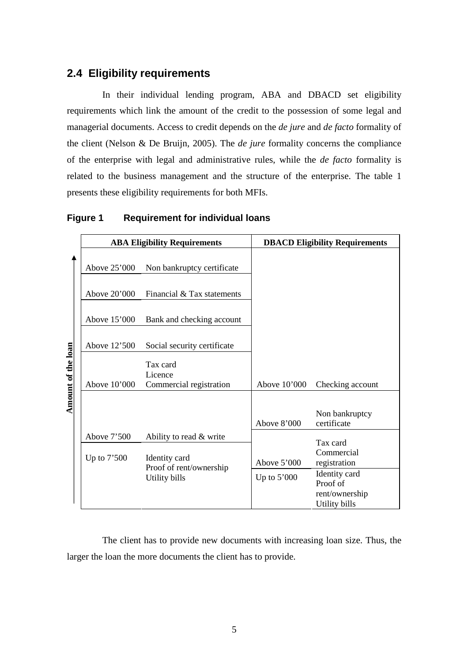### **2.4 Eligibility requirements**

In their individual lending program, ABA and DBACD set eligibility requirements which link the amount of the credit to the possession of some legal and managerial documents. Access to credit depends on the *de jure* and *de facto* formality of the client (Nelson & De Bruijn, 2005). The *de jure* formality concerns the compliance of the enterprise with legal and administrative rules, while the *de facto* formality is related to the business management and the structure of the enterprise. The table 1 presents these eligibility requirements for both MFIs.

| Figure 1 | <b>Requirement for individual loans</b> |
|----------|-----------------------------------------|
|----------|-----------------------------------------|

|                    |               | <b>ABA Eligibility Requirements</b>            |               | <b>DBACD Eligibility Requirements</b>       |
|--------------------|---------------|------------------------------------------------|---------------|---------------------------------------------|
|                    | Above 25'000  | Non bankruptcy certificate                     |               |                                             |
|                    | Above 20'000  | Financial & Tax statements                     |               |                                             |
|                    | Above 15'000  | Bank and checking account                      |               |                                             |
|                    | Above 12'500  | Social security certificate                    |               |                                             |
| Amount of the loan | Above 10'000  | Tax card<br>Licence<br>Commercial registration | Above 10'000  | Checking account                            |
|                    |               |                                                |               |                                             |
|                    |               |                                                | Above 8'000   | Non bankruptcy<br>certificate               |
|                    | Above 7'500   | Ability to read & write                        |               | Tax card                                    |
|                    | Up to 7'500   | Identity card<br>Proof of rent/ownership       | Above 5'000   | Commercial<br>registration                  |
|                    | Utility bills |                                                | Up to $5'000$ | Identity card<br>Proof of<br>rent/ownership |
|                    |               |                                                |               | Utility bills                               |

The client has to provide new documents with increasing loan size. Thus, the larger the loan the more documents the client has to provide.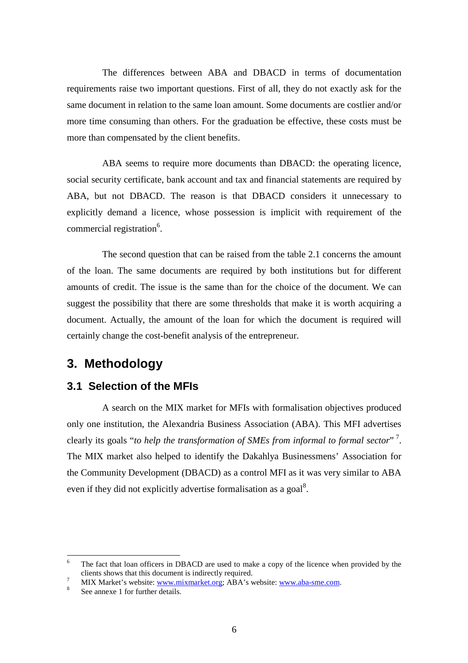The differences between ABA and DBACD in terms of documentation requirements raise two important questions. First of all, they do not exactly ask for the same document in relation to the same loan amount. Some documents are costlier and/or more time consuming than others. For the graduation be effective, these costs must be more than compensated by the client benefits.

ABA seems to require more documents than DBACD: the operating licence, social security certificate, bank account and tax and financial statements are required by ABA, but not DBACD. The reason is that DBACD considers it unnecessary to explicitly demand a licence, whose possession is implicit with requirement of the commercial registration<sup>6</sup>.

The second question that can be raised from the table 2.1 concerns the amount of the loan. The same documents are required by both institutions but for different amounts of credit. The issue is the same than for the choice of the document. We can suggest the possibility that there are some thresholds that make it is worth acquiring a document. Actually, the amount of the loan for which the document is required will certainly change the cost-benefit analysis of the entrepreneur.

## **3. Methodology**

### **3.1 Selection of the MFIs**

A search on the MIX market for MFIs with formalisation objectives produced only one institution, the Alexandria Business Association (ABA). This MFI advertises clearly its goals "to help the transformation of SMEs from informal to formal sector"<sup>7</sup>. The MIX market also helped to identify the Dakahlya Businessmens' Association for the Community Development (DBACD) as a control MFI as it was very similar to ABA even if they did not explicitly advertise formalisation as a goal<sup>8</sup>.

 $\overline{a}$ 

<sup>6</sup> The fact that loan officers in DBACD are used to make a copy of the licence when provided by the clients shows that this document is indirectly required.

<sup>7</sup> MIX Market's website: www.mixmarket.org; ABA's website: www.aba-sme.com.

<sup>8</sup> See annexe 1 for further details.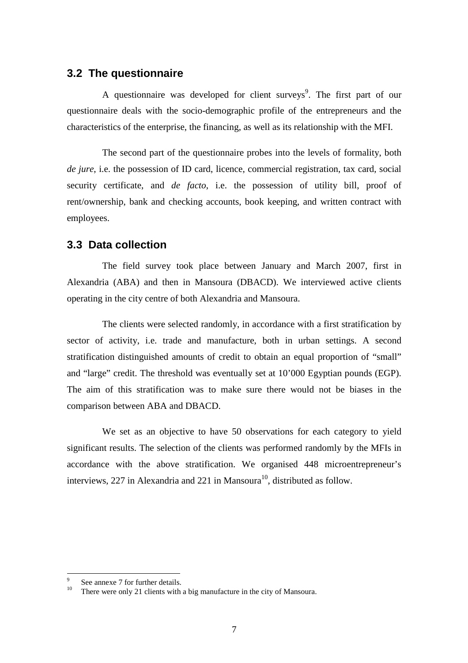### **3.2 The questionnaire**

A questionnaire was developed for client surveys<sup>9</sup>. The first part of our questionnaire deals with the socio-demographic profile of the entrepreneurs and the characteristics of the enterprise, the financing, as well as its relationship with the MFI.

The second part of the questionnaire probes into the levels of formality, both *de jure*, i.e. the possession of ID card, licence, commercial registration, tax card, social security certificate, and *de facto*, i.e. the possession of utility bill, proof of rent/ownership, bank and checking accounts, book keeping, and written contract with employees.

### **3.3 Data collection**

The field survey took place between January and March 2007, first in Alexandria (ABA) and then in Mansoura (DBACD). We interviewed active clients operating in the city centre of both Alexandria and Mansoura.

The clients were selected randomly, in accordance with a first stratification by sector of activity, i.e. trade and manufacture, both in urban settings. A second stratification distinguished amounts of credit to obtain an equal proportion of "small" and "large" credit. The threshold was eventually set at 10'000 Egyptian pounds (EGP). The aim of this stratification was to make sure there would not be biases in the comparison between ABA and DBACD.

We set as an objective to have 50 observations for each category to yield significant results. The selection of the clients was performed randomly by the MFIs in accordance with the above stratification. We organised 448 microentrepreneur's interviews,  $227$  in Alexandria and  $221$  in Mansoura<sup>10</sup>, distributed as follow.

 $\overline{a}$ 

<sup>9</sup>  $\frac{9}{10}$  See annexe 7 for further details.

There were only 21 clients with a big manufacture in the city of Mansoura.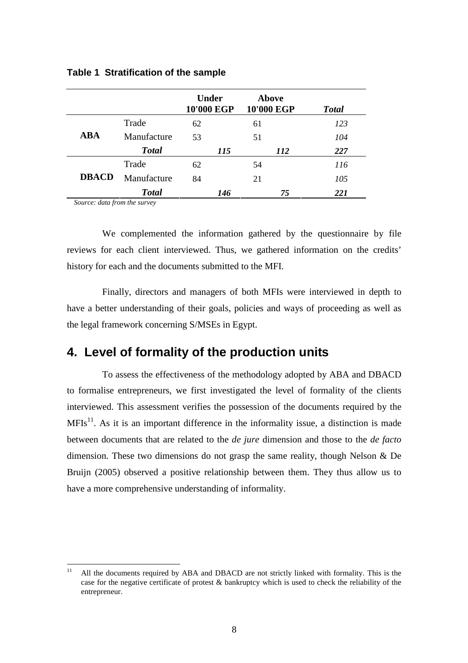|              |              | <b>Under</b><br>10'000 EGP | <b>Above</b><br>10'000 EGP | <b>Total</b> |
|--------------|--------------|----------------------------|----------------------------|--------------|
|              | Trade        | 62                         | 61                         | 123          |
| <b>ABA</b>   | Manufacture  | 53                         | 51                         | 104          |
|              | <b>Total</b> | 115                        | <i>112</i>                 | 227          |
|              | Trade        | 62                         | 54                         | 116          |
| <b>DBACD</b> | Manufacture  | 84                         | 21                         | 105          |
|              | <b>Total</b> | 146                        | 75                         | 221          |

#### **Table 1 Stratification of the sample**

*Source: data from the survey* 

 $\overline{a}$ 

We complemented the information gathered by the questionnaire by file reviews for each client interviewed. Thus, we gathered information on the credits' history for each and the documents submitted to the MFI.

Finally, directors and managers of both MFIs were interviewed in depth to have a better understanding of their goals, policies and ways of proceeding as well as the legal framework concerning S/MSEs in Egypt.

## **4. Level of formality of the production units**

To assess the effectiveness of the methodology adopted by ABA and DBACD to formalise entrepreneurs, we first investigated the level of formality of the clients interviewed. This assessment verifies the possession of the documents required by the  $MFS<sup>11</sup>$ . As it is an important difference in the informality issue, a distinction is made between documents that are related to the *de jure* dimension and those to the *de facto* dimension. These two dimensions do not grasp the same reality, though Nelson & De Bruijn (2005) observed a positive relationship between them. They thus allow us to have a more comprehensive understanding of informality.

All the documents required by ABA and DBACD are not strictly linked with formality. This is the case for the negative certificate of protest & bankruptcy which is used to check the reliability of the entrepreneur.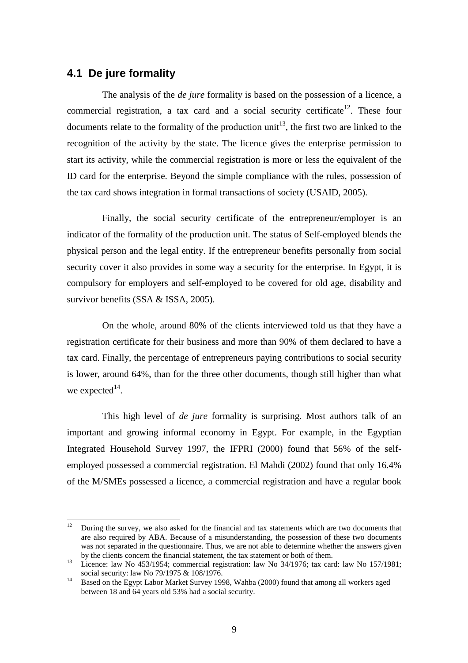### **4.1 De jure formality**

The analysis of the *de jure* formality is based on the possession of a licence, a commercial registration, a tax card and a social security certificate<sup>12</sup>. These four documents relate to the formality of the production unit<sup>13</sup>, the first two are linked to the recognition of the activity by the state. The licence gives the enterprise permission to start its activity, while the commercial registration is more or less the equivalent of the ID card for the enterprise. Beyond the simple compliance with the rules, possession of the tax card shows integration in formal transactions of society (USAID, 2005).

Finally, the social security certificate of the entrepreneur/employer is an indicator of the formality of the production unit. The status of Self-employed blends the physical person and the legal entity. If the entrepreneur benefits personally from social security cover it also provides in some way a security for the enterprise. In Egypt, it is compulsory for employers and self-employed to be covered for old age, disability and survivor benefits (SSA & ISSA, 2005).

On the whole, around 80% of the clients interviewed told us that they have a registration certificate for their business and more than 90% of them declared to have a tax card. Finally, the percentage of entrepreneurs paying contributions to social security is lower, around 64%, than for the three other documents, though still higher than what we expected $^{14}$ .

This high level of *de jure* formality is surprising. Most authors talk of an important and growing informal economy in Egypt. For example, in the Egyptian Integrated Household Survey 1997, the IFPRI (2000) found that 56% of the selfemployed possessed a commercial registration. El Mahdi (2002) found that only 16.4% of the M/SMEs possessed a licence, a commercial registration and have a regular book

 $12$ <sup>12</sup> During the survey, we also asked for the financial and tax statements which are two documents that are also required by ABA. Because of a misunderstanding, the possession of these two documents was not separated in the questionnaire. Thus, we are not able to determine whether the answers given by the clients concern the financial statement, the tax statement or both of them.

<sup>13</sup> Licence: law No 453/1954; commercial registration: law No 34/1976; tax card: law No 157/1981; social security: law No 79/1975 & 108/1976.

<sup>&</sup>lt;sup>14</sup> Based on the Egypt Labor Market Survey 1998, Wahba (2000) found that among all workers aged between 18 and 64 years old 53% had a social security.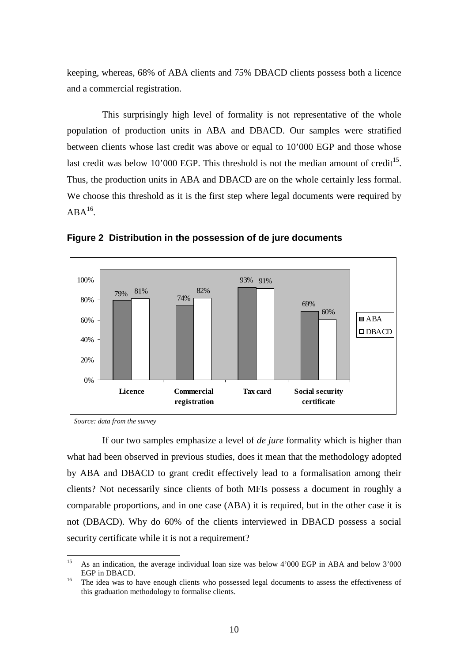keeping, whereas, 68% of ABA clients and 75% DBACD clients possess both a licence and a commercial registration.

This surprisingly high level of formality is not representative of the whole population of production units in ABA and DBACD. Our samples were stratified between clients whose last credit was above or equal to 10'000 EGP and those whose last credit was below 10'000 EGP. This threshold is not the median amount of credit<sup>15</sup>. Thus, the production units in ABA and DBACD are on the whole certainly less formal. We choose this threshold as it is the first step where legal documents were required by  $ABA^{16}$ .



**Figure 2 Distribution in the possession of de jure documents** 

If our two samples emphasize a level of *de jure* formality which is higher than what had been observed in previous studies, does it mean that the methodology adopted by ABA and DBACD to grant credit effectively lead to a formalisation among their clients? Not necessarily since clients of both MFIs possess a document in roughly a comparable proportions, and in one case (ABA) it is required, but in the other case it is not (DBACD). Why do 60% of the clients interviewed in DBACD possess a social security certificate while it is not a requirement?

*Source: data from the survey* 

<sup>15</sup> As an indication, the average individual loan size was below 4'000 EGP in ABA and below 3'000 EGP in DBACD.

<sup>&</sup>lt;sup>16</sup> The idea was to have enough clients who possessed legal documents to assess the effectiveness of this graduation methodology to formalise clients.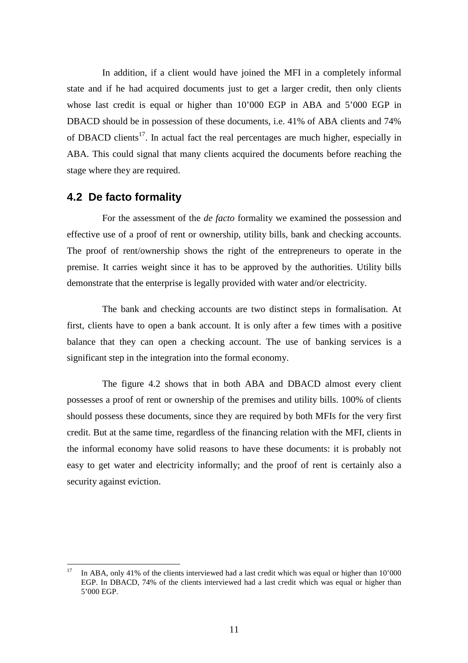In addition, if a client would have joined the MFI in a completely informal state and if he had acquired documents just to get a larger credit, then only clients whose last credit is equal or higher than 10'000 EGP in ABA and 5'000 EGP in DBACD should be in possession of these documents, i.e. 41% of ABA clients and 74% of DBACD clients<sup>17</sup>. In actual fact the real percentages are much higher, especially in ABA. This could signal that many clients acquired the documents before reaching the stage where they are required.

### **4.2 De facto formality**

 $\overline{a}$ 

For the assessment of the *de facto* formality we examined the possession and effective use of a proof of rent or ownership, utility bills, bank and checking accounts. The proof of rent/ownership shows the right of the entrepreneurs to operate in the premise. It carries weight since it has to be approved by the authorities. Utility bills demonstrate that the enterprise is legally provided with water and/or electricity.

The bank and checking accounts are two distinct steps in formalisation. At first, clients have to open a bank account. It is only after a few times with a positive balance that they can open a checking account. The use of banking services is a significant step in the integration into the formal economy.

The figure 4.2 shows that in both ABA and DBACD almost every client possesses a proof of rent or ownership of the premises and utility bills. 100% of clients should possess these documents, since they are required by both MFIs for the very first credit. But at the same time, regardless of the financing relation with the MFI, clients in the informal economy have solid reasons to have these documents: it is probably not easy to get water and electricity informally; and the proof of rent is certainly also a security against eviction.

In ABA, only 41% of the clients interviewed had a last credit which was equal or higher than 10'000 EGP. In DBACD, 74% of the clients interviewed had a last credit which was equal or higher than 5'000 EGP.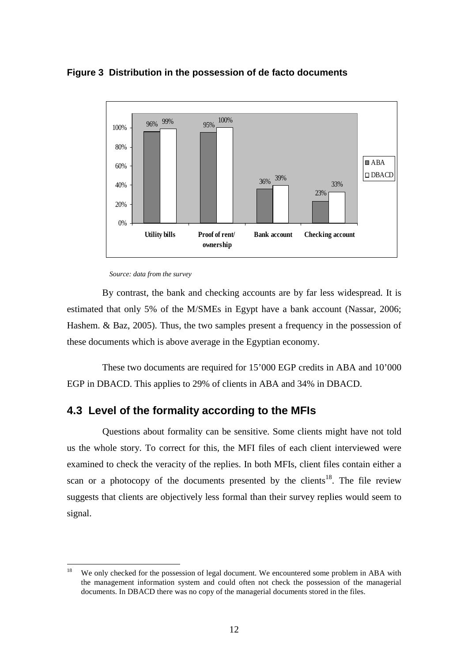### **Figure 3 Distribution in the possession of de facto documents**



*Source: data from the survey* 

By contrast, the bank and checking accounts are by far less widespread. It is estimated that only 5% of the M/SMEs in Egypt have a bank account (Nassar, 2006; Hashem. & Baz, 2005). Thus, the two samples present a frequency in the possession of these documents which is above average in the Egyptian economy.

These two documents are required for 15'000 EGP credits in ABA and 10'000 EGP in DBACD. This applies to 29% of clients in ABA and 34% in DBACD.

### **4.3 Level of the formality according to the MFIs**

Questions about formality can be sensitive. Some clients might have not told us the whole story. To correct for this, the MFI files of each client interviewed were examined to check the veracity of the replies. In both MFIs, client files contain either a scan or a photocopy of the documents presented by the clients<sup>18</sup>. The file review suggests that clients are objectively less formal than their survey replies would seem to signal.

<sup>18</sup> We only checked for the possession of legal document. We encountered some problem in ABA with the management information system and could often not check the possession of the managerial documents. In DBACD there was no copy of the managerial documents stored in the files.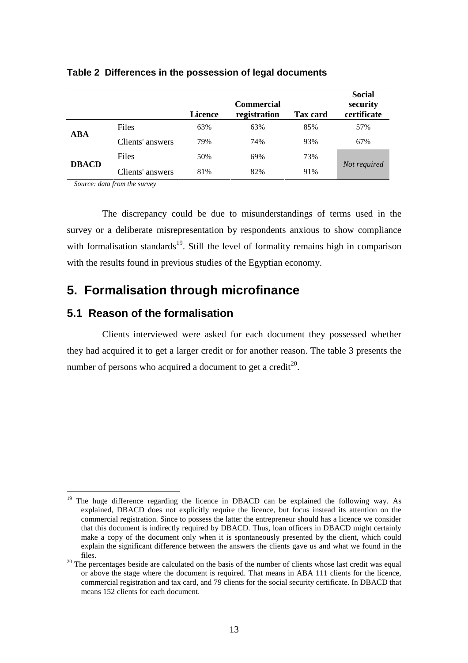|              |                  | <b>Licence</b> | <b>Commercial</b><br>registration | <b>Tax card</b> | <b>Social</b><br>security<br>certificate |
|--------------|------------------|----------------|-----------------------------------|-----------------|------------------------------------------|
| <b>ABA</b>   | Files            | 63%            | 63%                               | 85%             | 57%                                      |
|              | Clients' answers | 79%            | 74%                               | 93%             | 67%                                      |
|              | Files            | 50%            | 69%                               | 73%             |                                          |
| <b>DBACD</b> | Clients' answers | 81%            | 82%                               | 91%             | Not required                             |

#### **Table 2 Differences in the possession of legal documents**

*Source: data from the survey* 

The discrepancy could be due to misunderstandings of terms used in the survey or a deliberate misrepresentation by respondents anxious to show compliance with formalisation standards<sup>19</sup>. Still the level of formality remains high in comparison with the results found in previous studies of the Egyptian economy.

## **5. Formalisation through microfinance**

### **5.1 Reason of the formalisation**

Clients interviewed were asked for each document they possessed whether they had acquired it to get a larger credit or for another reason. The table 3 presents the number of persons who acquired a document to get a credit $^{20}$ .

 $\overline{a}$ <sup>19</sup> The huge difference regarding the licence in DBACD can be explained the following way. As explained, DBACD does not explicitly require the licence, but focus instead its attention on the commercial registration. Since to possess the latter the entrepreneur should has a licence we consider that this document is indirectly required by DBACD. Thus, loan officers in DBACD might certainly make a copy of the document only when it is spontaneously presented by the client, which could explain the significant difference between the answers the clients gave us and what we found in the files.

 $20$  The percentages beside are calculated on the basis of the number of clients whose last credit was equal or above the stage where the document is required. That means in ABA 111 clients for the licence, commercial registration and tax card, and 79 clients for the social security certificate. In DBACD that means 152 clients for each document.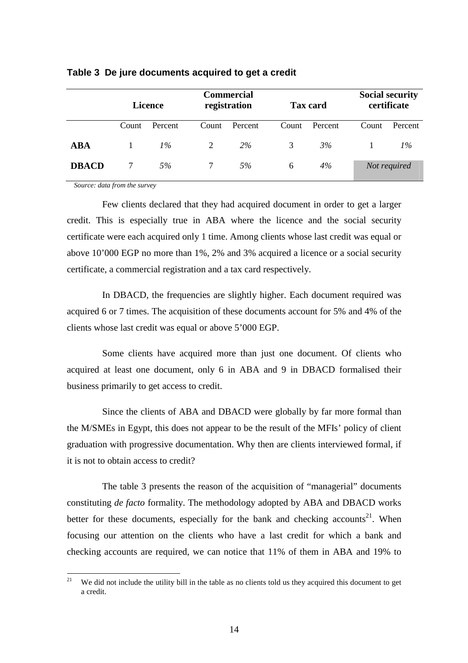|              | <b>Licence</b> |         | <b>Commercial</b><br>registration |         |       | <b>Tax card</b> |       | <b>Social security</b><br>certificate |  |
|--------------|----------------|---------|-----------------------------------|---------|-------|-----------------|-------|---------------------------------------|--|
|              | Count          | Percent | Count                             | Percent | Count | Percent         | Count | Percent                               |  |
| ABA          |                | $1\%$   | 2                                 | 2%      | 3     | 3%              |       | $1\%$                                 |  |
| <b>DBACD</b> |                | 5%      |                                   | 5%      | 6     | 4%              |       | Not required                          |  |

**Table 3 De jure documents acquired to get a credit**

*Source: data from the survey* 

Few clients declared that they had acquired document in order to get a larger credit. This is especially true in ABA where the licence and the social security certificate were each acquired only 1 time. Among clients whose last credit was equal or above 10'000 EGP no more than 1%, 2% and 3% acquired a licence or a social security certificate, a commercial registration and a tax card respectively.

In DBACD, the frequencies are slightly higher. Each document required was acquired 6 or 7 times. The acquisition of these documents account for 5% and 4% of the clients whose last credit was equal or above 5'000 EGP.

Some clients have acquired more than just one document. Of clients who acquired at least one document, only 6 in ABA and 9 in DBACD formalised their business primarily to get access to credit.

Since the clients of ABA and DBACD were globally by far more formal than the M/SMEs in Egypt, this does not appear to be the result of the MFIs' policy of client graduation with progressive documentation. Why then are clients interviewed formal, if it is not to obtain access to credit?

The table 3 presents the reason of the acquisition of "managerial" documents constituting *de facto* formality. The methodology adopted by ABA and DBACD works better for these documents, especially for the bank and checking accounts<sup>21</sup>. When focusing our attention on the clients who have a last credit for which a bank and checking accounts are required, we can notice that 11% of them in ABA and 19% to

 $21$ We did not include the utility bill in the table as no clients told us they acquired this document to get a credit.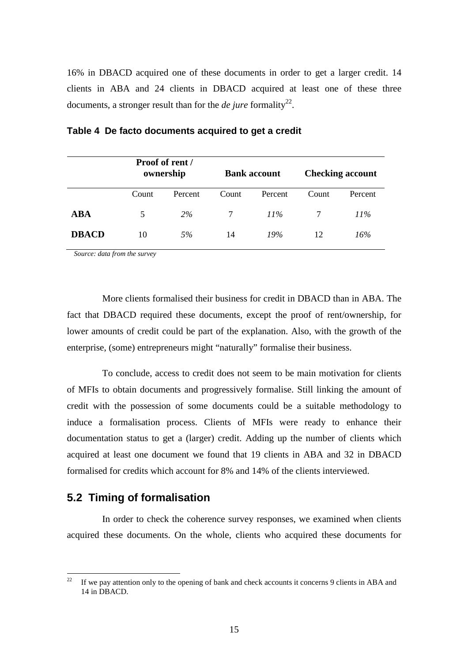16% in DBACD acquired one of these documents in order to get a larger credit. 14 clients in ABA and 24 clients in DBACD acquired at least one of these three documents, a stronger result than for the *de jure* formality<sup>22</sup>.

|              | Proof of rent /<br>ownership |         |       | <b>Bank account</b> | <b>Checking account</b> |         |  |
|--------------|------------------------------|---------|-------|---------------------|-------------------------|---------|--|
|              | Count                        | Percent | Count | Percent             | Count                   | Percent |  |
| <b>ABA</b>   | 5                            | 2%      | 7     | $11\%$              |                         | $11\%$  |  |
| <b>DBACD</b> | 10                           | 5%      | 14    | 19%                 | 12                      | 16%     |  |

| Table 4 De facto documents acquired to get a credit |  |  |  |  |  |  |
|-----------------------------------------------------|--|--|--|--|--|--|
|-----------------------------------------------------|--|--|--|--|--|--|

*Source: data from the survey* 

More clients formalised their business for credit in DBACD than in ABA. The fact that DBACD required these documents, except the proof of rent/ownership, for lower amounts of credit could be part of the explanation. Also, with the growth of the enterprise, (some) entrepreneurs might "naturally" formalise their business.

To conclude, access to credit does not seem to be main motivation for clients of MFIs to obtain documents and progressively formalise. Still linking the amount of credit with the possession of some documents could be a suitable methodology to induce a formalisation process. Clients of MFIs were ready to enhance their documentation status to get a (larger) credit. Adding up the number of clients which acquired at least one document we found that 19 clients in ABA and 32 in DBACD formalised for credits which account for 8% and 14% of the clients interviewed.

### **5.2 Timing of formalisation**

In order to check the coherence survey responses, we examined when clients acquired these documents. On the whole, clients who acquired these documents for

 $22$ If we pay attention only to the opening of bank and check accounts it concerns 9 clients in ABA and 14 in DBACD.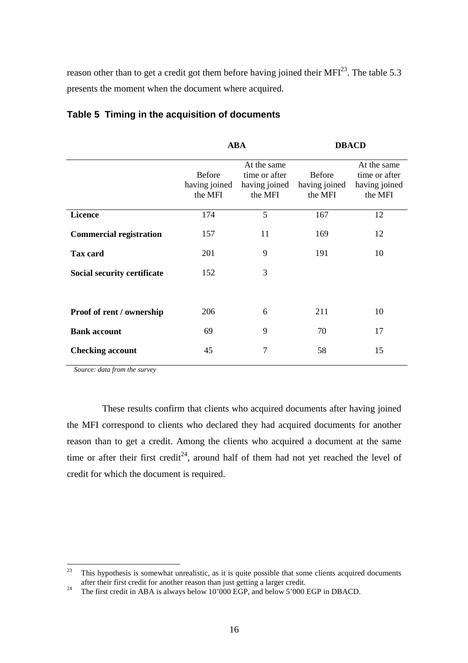reason other than to get a credit got them before having joined their  $MFI^{23}$ . The table 5.3 presents the moment when the document where acquired.

|                                  |                                           | <b>DBACD</b><br><b>ABA</b>                               |                                           |                                                          |
|----------------------------------|-------------------------------------------|----------------------------------------------------------|-------------------------------------------|----------------------------------------------------------|
|                                  | <b>Before</b><br>having joined<br>the MFI | At the same<br>time or after<br>having joined<br>the MFI | <b>Before</b><br>having joined<br>the MFI | At the same<br>time or after<br>having joined<br>the MFI |
| <b>Licence</b>                   | 174                                       | 5                                                        | 167                                       | 12                                                       |
| <b>Commercial registration</b>   | 157                                       | 11                                                       | 169                                       | 12                                                       |
| <b>Tax card</b>                  | 201                                       | 9                                                        | 191                                       | 10                                                       |
| Social security certificate      | 152                                       | 3                                                        |                                           |                                                          |
|                                  |                                           |                                                          |                                           |                                                          |
| <b>Proof of rent / ownership</b> | 206                                       | 6                                                        | 211                                       | 10                                                       |
| <b>Bank account</b>              | 69                                        | 9                                                        | 70                                        | 17                                                       |
| <b>Checking account</b>          | 45                                        | 7                                                        | 58                                        | 15                                                       |

### **Table 5 Timing in the acquisition of documents**

*Source: data from the survey* 

These results confirm that clients who acquired documents after having joined the MFI correspond to clients who declared they had acquired documents for another reason than to get a credit. Among the clients who acquired a document at the same time or after their first credit<sup>24</sup>, around half of them had not yet reached the level of credit for which the document is required.

 $23$ <sup>23</sup> This hypothesis is somewhat unrealistic, as it is quite possible that some clients acquired documents after their first credit for another reason than just getting a larger credit.

<sup>&</sup>lt;sup>24</sup> The first credit in ABA is always below 10'000 EGP, and below 5'000 EGP in DBACD.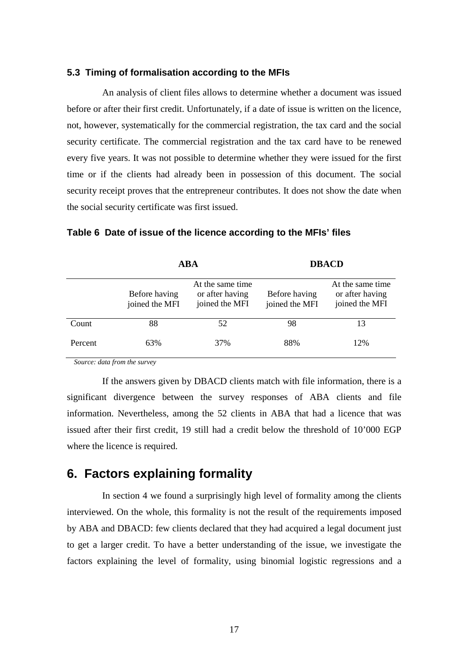#### **5.3 Timing of formalisation according to the MFIs**

An analysis of client files allows to determine whether a document was issued before or after their first credit. Unfortunately, if a date of issue is written on the licence, not, however, systematically for the commercial registration, the tax card and the social security certificate. The commercial registration and the tax card have to be renewed every five years. It was not possible to determine whether they were issued for the first time or if the clients had already been in possession of this document. The social security receipt proves that the entrepreneur contributes. It does not show the date when the social security certificate was first issued.

|  |  |  |  |  | Table 6 Date of issue of the licence according to the MFIs' files |  |  |  |  |
|--|--|--|--|--|-------------------------------------------------------------------|--|--|--|--|
|--|--|--|--|--|-------------------------------------------------------------------|--|--|--|--|

|         |                                 | ABA                                                   | <b>DBACD</b>                    |                                                       |  |
|---------|---------------------------------|-------------------------------------------------------|---------------------------------|-------------------------------------------------------|--|
|         | Before having<br>joined the MFI | At the same time<br>or after having<br>joined the MFI | Before having<br>joined the MFI | At the same time<br>or after having<br>joined the MFI |  |
| Count   | 88                              | 52                                                    | 98                              |                                                       |  |
| Percent | 63%                             | 37%                                                   | 88%                             | 12%                                                   |  |

*Source: data from the survey* 

If the answers given by DBACD clients match with file information, there is a significant divergence between the survey responses of ABA clients and file information. Nevertheless, among the 52 clients in ABA that had a licence that was issued after their first credit, 19 still had a credit below the threshold of 10'000 EGP where the licence is required.

### **6. Factors explaining formality**

In section 4 we found a surprisingly high level of formality among the clients interviewed. On the whole, this formality is not the result of the requirements imposed by ABA and DBACD: few clients declared that they had acquired a legal document just to get a larger credit. To have a better understanding of the issue, we investigate the factors explaining the level of formality, using binomial logistic regressions and a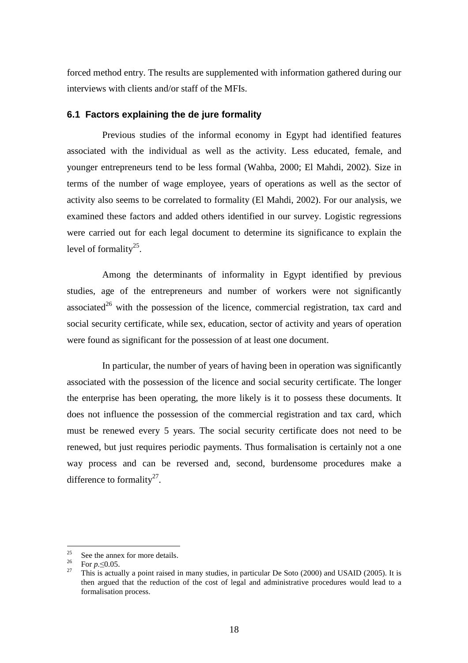forced method entry. The results are supplemented with information gathered during our interviews with clients and/or staff of the MFIs.

### **6.1 Factors explaining the de jure formality**

Previous studies of the informal economy in Egypt had identified features associated with the individual as well as the activity. Less educated, female, and younger entrepreneurs tend to be less formal (Wahba, 2000; El Mahdi, 2002). Size in terms of the number of wage employee, years of operations as well as the sector of activity also seems to be correlated to formality (El Mahdi, 2002). For our analysis, we examined these factors and added others identified in our survey. Logistic regressions were carried out for each legal document to determine its significance to explain the level of formality<sup>25</sup>.

Among the determinants of informality in Egypt identified by previous studies, age of the entrepreneurs and number of workers were not significantly associated<sup>26</sup> with the possession of the licence, commercial registration, tax card and social security certificate, while sex, education, sector of activity and years of operation were found as significant for the possession of at least one document.

In particular, the number of years of having been in operation was significantly associated with the possession of the licence and social security certificate. The longer the enterprise has been operating, the more likely is it to possess these documents. It does not influence the possession of the commercial registration and tax card, which must be renewed every 5 years. The social security certificate does not need to be renewed, but just requires periodic payments. Thus formalisation is certainly not a one way process and can be reversed and, second, burdensome procedures make a difference to formality<sup>27</sup>.

<sup>25</sup> <sup>25</sup> See the annex for more details.

 $\frac{26}{27}$  For *p*. ≤0.05.

<sup>27</sup> This is actually a point raised in many studies, in particular De Soto (2000) and USAID (2005). It is then argued that the reduction of the cost of legal and administrative procedures would lead to a formalisation process.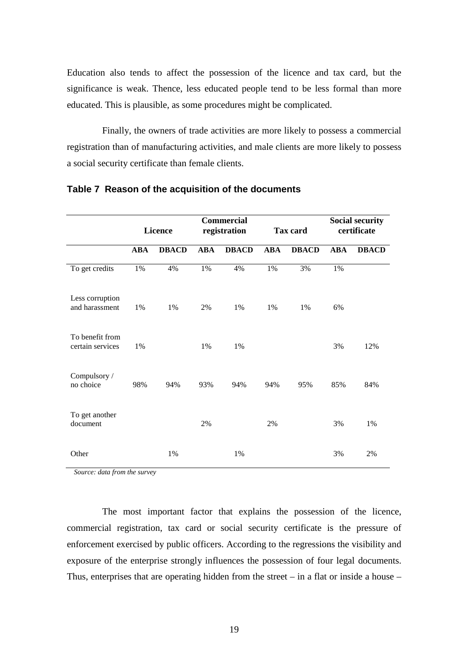Education also tends to affect the possession of the licence and tax card, but the significance is weak. Thence, less educated people tend to be less formal than more educated. This is plausible, as some procedures might be complicated.

Finally, the owners of trade activities are more likely to possess a commercial registration than of manufacturing activities, and male clients are more likely to possess a social security certificate than female clients.

|                                     |            | <b>Licence</b> | <b>Commercial</b><br>registration |              | <b>Tax card</b> |              | <b>Social security</b><br>certificate |              |
|-------------------------------------|------------|----------------|-----------------------------------|--------------|-----------------|--------------|---------------------------------------|--------------|
|                                     | <b>ABA</b> | <b>DBACD</b>   | <b>ABA</b>                        | <b>DBACD</b> | <b>ABA</b>      | <b>DBACD</b> | <b>ABA</b>                            | <b>DBACD</b> |
| To get credits                      | $1\%$      | 4%             | $1\%$                             | 4%           | $1\%$           | 3%           | $1\%$                                 |              |
| Less corruption<br>and harassment   | 1%         | 1%             | 2%                                | 1%           | 1%              | 1%           | 6%                                    |              |
| To benefit from<br>certain services | 1%         |                | 1%                                | 1%           |                 |              | 3%                                    | 12%          |
| Compulsory /<br>no choice           | 98%        | 94%            | 93%                               | 94%          | 94%             | 95%          | 85%                                   | 84%          |
| To get another<br>document          |            |                | 2%                                |              | 2%              |              | 3%                                    | 1%           |
| Other                               |            | 1%             |                                   | 1%           |                 |              | 3%                                    | 2%           |

### **Table 7 Reason of the acquisition of the documents**

*Source: data from the survey* 

The most important factor that explains the possession of the licence, commercial registration, tax card or social security certificate is the pressure of enforcement exercised by public officers. According to the regressions the visibility and exposure of the enterprise strongly influences the possession of four legal documents. Thus, enterprises that are operating hidden from the street – in a flat or inside a house –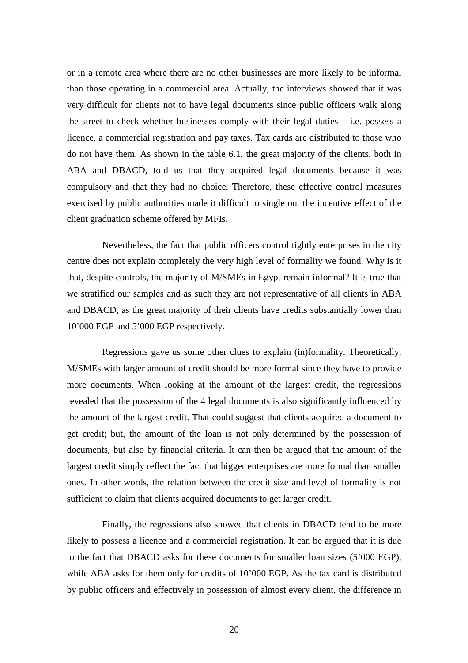or in a remote area where there are no other businesses are more likely to be informal than those operating in a commercial area. Actually, the interviews showed that it was very difficult for clients not to have legal documents since public officers walk along the street to check whether businesses comply with their legal duties – i.e. possess a licence, a commercial registration and pay taxes. Tax cards are distributed to those who do not have them. As shown in the table 6.1, the great majority of the clients, both in ABA and DBACD, told us that they acquired legal documents because it was compulsory and that they had no choice. Therefore, these effective control measures exercised by public authorities made it difficult to single out the incentive effect of the client graduation scheme offered by MFIs.

Nevertheless, the fact that public officers control tightly enterprises in the city centre does not explain completely the very high level of formality we found. Why is it that, despite controls, the majority of M/SMEs in Egypt remain informal? It is true that we stratified our samples and as such they are not representative of all clients in ABA and DBACD, as the great majority of their clients have credits substantially lower than 10'000 EGP and 5'000 EGP respectively.

Regressions gave us some other clues to explain (in)formality. Theoretically, M/SMEs with larger amount of credit should be more formal since they have to provide more documents. When looking at the amount of the largest credit, the regressions revealed that the possession of the 4 legal documents is also significantly influenced by the amount of the largest credit. That could suggest that clients acquired a document to get credit; but, the amount of the loan is not only determined by the possession of documents, but also by financial criteria. It can then be argued that the amount of the largest credit simply reflect the fact that bigger enterprises are more formal than smaller ones. In other words, the relation between the credit size and level of formality is not sufficient to claim that clients acquired documents to get larger credit.

Finally, the regressions also showed that clients in DBACD tend to be more likely to possess a licence and a commercial registration. It can be argued that it is due to the fact that DBACD asks for these documents for smaller loan sizes (5'000 EGP), while ABA asks for them only for credits of 10'000 EGP. As the tax card is distributed by public officers and effectively in possession of almost every client, the difference in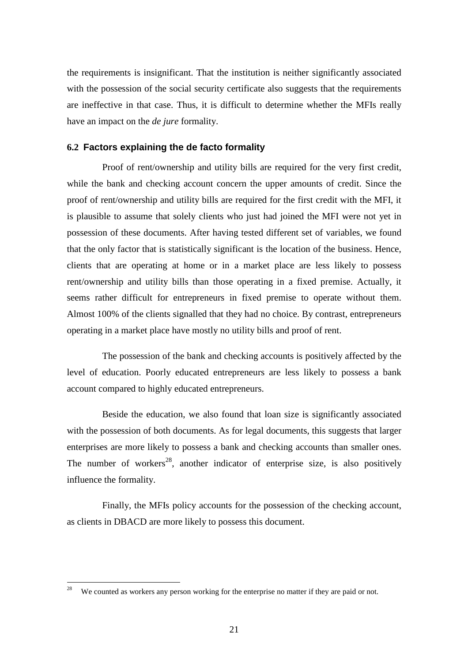the requirements is insignificant. That the institution is neither significantly associated with the possession of the social security certificate also suggests that the requirements are ineffective in that case. Thus, it is difficult to determine whether the MFIs really have an impact on the *de jure* formality.

### **6.2 Factors explaining the de facto formality**

Proof of rent/ownership and utility bills are required for the very first credit, while the bank and checking account concern the upper amounts of credit. Since the proof of rent/ownership and utility bills are required for the first credit with the MFI, it is plausible to assume that solely clients who just had joined the MFI were not yet in possession of these documents. After having tested different set of variables, we found that the only factor that is statistically significant is the location of the business. Hence, clients that are operating at home or in a market place are less likely to possess rent/ownership and utility bills than those operating in a fixed premise. Actually, it seems rather difficult for entrepreneurs in fixed premise to operate without them. Almost 100% of the clients signalled that they had no choice. By contrast, entrepreneurs operating in a market place have mostly no utility bills and proof of rent.

The possession of the bank and checking accounts is positively affected by the level of education. Poorly educated entrepreneurs are less likely to possess a bank account compared to highly educated entrepreneurs.

Beside the education, we also found that loan size is significantly associated with the possession of both documents. As for legal documents, this suggests that larger enterprises are more likely to possess a bank and checking accounts than smaller ones. The number of workers<sup>28</sup>, another indicator of enterprise size, is also positively influence the formality.

Finally, the MFIs policy accounts for the possession of the checking account, as clients in DBACD are more likely to possess this document.

<sup>28</sup> We counted as workers any person working for the enterprise no matter if they are paid or not.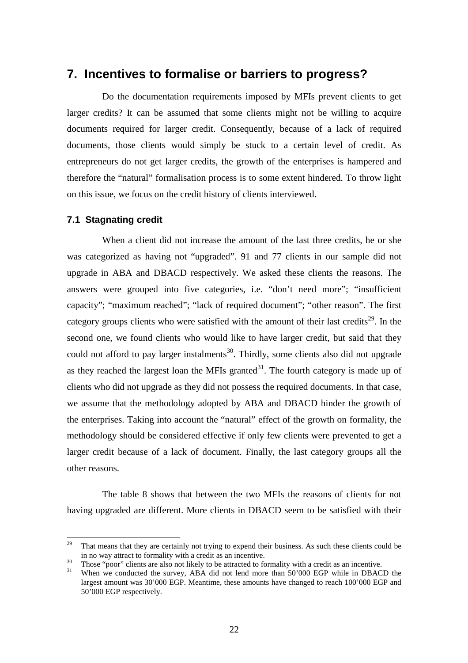### **7. Incentives to formalise or barriers to progress?**

Do the documentation requirements imposed by MFIs prevent clients to get larger credits? It can be assumed that some clients might not be willing to acquire documents required for larger credit. Consequently, because of a lack of required documents, those clients would simply be stuck to a certain level of credit. As entrepreneurs do not get larger credits, the growth of the enterprises is hampered and therefore the "natural" formalisation process is to some extent hindered. To throw light on this issue, we focus on the credit history of clients interviewed.

### **7.1 Stagnating credit**

When a client did not increase the amount of the last three credits, he or she was categorized as having not "upgraded". 91 and 77 clients in our sample did not upgrade in ABA and DBACD respectively. We asked these clients the reasons. The answers were grouped into five categories, i.e. "don't need more"; "insufficient capacity"; "maximum reached"; "lack of required document"; "other reason". The first category groups clients who were satisfied with the amount of their last credits<sup>29</sup>. In the second one, we found clients who would like to have larger credit, but said that they could not afford to pay larger instalments<sup>30</sup>. Thirdly, some clients also did not upgrade as they reached the largest loan the MFIs granted $3<sup>1</sup>$ . The fourth category is made up of clients who did not upgrade as they did not possess the required documents. In that case, we assume that the methodology adopted by ABA and DBACD hinder the growth of the enterprises. Taking into account the "natural" effect of the growth on formality, the methodology should be considered effective if only few clients were prevented to get a larger credit because of a lack of document. Finally, the last category groups all the other reasons.

The table 8 shows that between the two MFIs the reasons of clients for not having upgraded are different. More clients in DBACD seem to be satisfied with their

 $29$ That means that they are certainly not trying to expend their business. As such these clients could be in no way attract to formality with a credit as an incentive.

<sup>&</sup>lt;sup>30</sup> Those "poor" clients are also not likely to be attracted to formality with a credit as an incentive.

<sup>&</sup>lt;sup>31</sup> When we conducted the survey, ABA did not lend more than 50'000 EGP while in DBACD the largest amount was 30'000 EGP. Meantime, these amounts have changed to reach 100'000 EGP and 50'000 EGP respectively.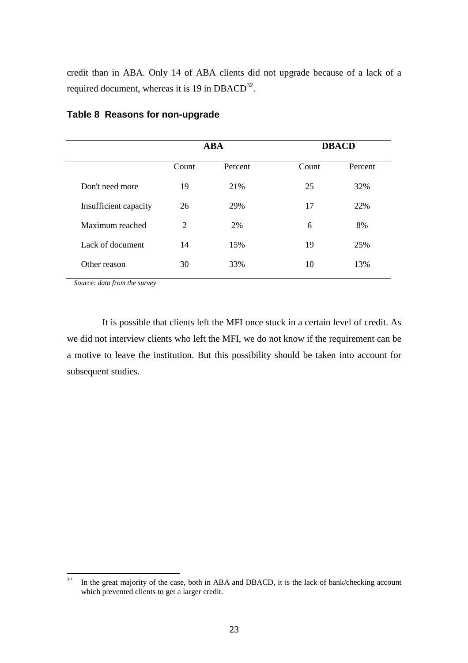credit than in ABA. Only 14 of ABA clients did not upgrade because of a lack of a required document, whereas it is 19 in  $DBACD<sup>32</sup>$ .

|                       | <b>ABA</b> |         |       | <b>DBACD</b> |
|-----------------------|------------|---------|-------|--------------|
|                       | Count      | Percent | Count | Percent      |
| Don't need more       | 19         | 21%     | 25    | 32%          |
| Insufficient capacity | 26         | 29%     | 17    | 22%          |
| Maximum reached       | 2          | 2%      | 6     | 8%           |
| Lack of document      | 14         | 15%     | 19    | 25%          |
| Other reason          | 30         | 33%     | 10    | 13%          |

### **Table 8 Reasons for non-upgrade**

*Source: data from the survey* 

It is possible that clients left the MFI once stuck in a certain level of credit. As we did not interview clients who left the MFI, we do not know if the requirement can be a motive to leave the institution. But this possibility should be taken into account for subsequent studies.

 $32$ In the great majority of the case, both in ABA and DBACD, it is the lack of bank/checking account which prevented clients to get a larger credit.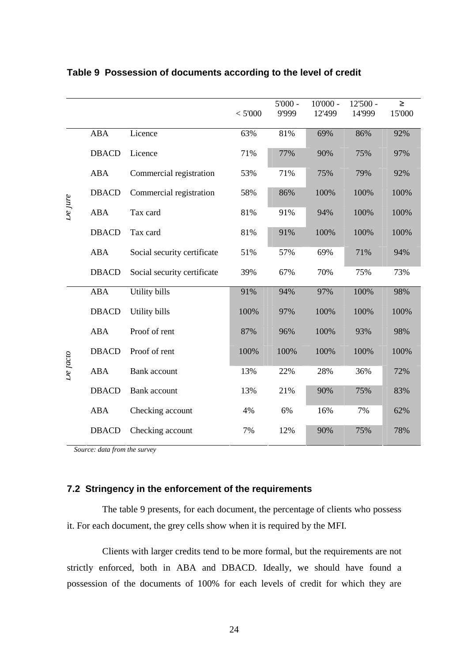|                    |              |                             | < 5'000 | $5'000 -$<br>9'999 | $10'000 -$<br>12'499 | $12'500 -$<br>14'999 | $\geq$<br>15'000 |
|--------------------|--------------|-----------------------------|---------|--------------------|----------------------|----------------------|------------------|
|                    | <b>ABA</b>   | Licence                     | 63%     | 81%                | 69%                  | 86%                  | 92%              |
| $ue$ jure          | <b>DBACD</b> | Licence                     | 71%     | 77%                | 90%                  | 75%                  | 97%              |
|                    | <b>ABA</b>   | Commercial registration     | 53%     | 71%                | 75%                  | 79%                  | 92%              |
|                    | <b>DBACD</b> | Commercial registration     | 58%     | 86%                | 100%                 | 100%                 | 100%             |
|                    | <b>ABA</b>   | Tax card                    | 81%     | 91%                | 94%                  | 100%                 | 100%             |
|                    | <b>DBACD</b> | Tax card                    | 81%     | 91%                | 100%                 | 100%                 | 100%             |
|                    | <b>ABA</b>   | Social security certificate | 51%     | 57%                | 69%                  | 71%                  | 94%              |
|                    | <b>DBACD</b> | Social security certificate | 39%     | 67%                | 70%                  | 75%                  | 73%              |
|                    | <b>ABA</b>   | Utility bills               | 91%     | 94%                | 97%                  | 100%                 | 98%              |
|                    | <b>DBACD</b> | Utility bills               | 100%    | 97%                | 100%                 | 100%                 | 100%             |
|                    | <b>ABA</b>   | Proof of rent               | 87%     | 96%                | 100%                 | 93%                  | 98%              |
|                    | <b>DBACD</b> | Proof of rent               | 100%    | 100%               | 100%                 | 100%                 | 100%             |
| $\upsilon$ e jacio | <b>ABA</b>   | Bank account                | 13%     | 22%                | 28%                  | 36%                  | 72%              |
|                    | <b>DBACD</b> | Bank account                | 13%     | 21%                | 90%                  | 75%                  | 83%              |
|                    | <b>ABA</b>   | Checking account            | 4%      | 6%                 | 16%                  | 7%                   | 62%              |
|                    | <b>DBACD</b> | Checking account            | 7%      | 12%                | 90%                  | 75%                  | 78%              |

### **Table 9 Possession of documents according to the level of credit**

*Source: data from the survey* 

### **7.2 Stringency in the enforcement of the requirements**

The table 9 presents, for each document, the percentage of clients who possess it. For each document, the grey cells show when it is required by the MFI.

Clients with larger credits tend to be more formal, but the requirements are not strictly enforced, both in ABA and DBACD. Ideally, we should have found a possession of the documents of 100% for each levels of credit for which they are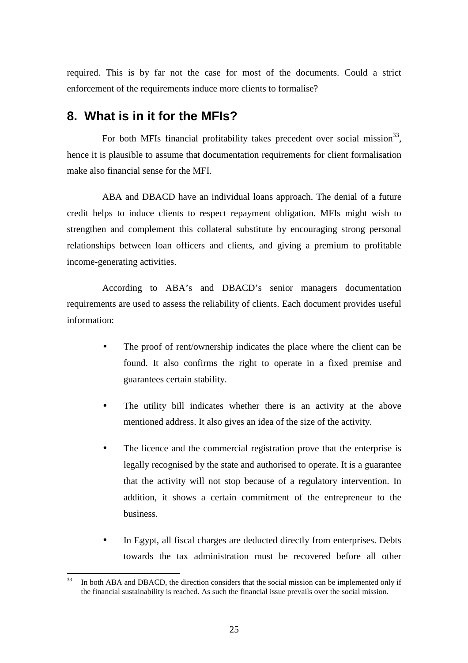required. This is by far not the case for most of the documents. Could a strict enforcement of the requirements induce more clients to formalise?

## **8. What is in it for the MFIs?**

For both MFIs financial profitability takes precedent over social mission $^{33}$ , hence it is plausible to assume that documentation requirements for client formalisation make also financial sense for the MFI.

ABA and DBACD have an individual loans approach. The denial of a future credit helps to induce clients to respect repayment obligation. MFIs might wish to strengthen and complement this collateral substitute by encouraging strong personal relationships between loan officers and clients, and giving a premium to profitable income-generating activities.

According to ABA's and DBACD's senior managers documentation requirements are used to assess the reliability of clients. Each document provides useful information:

- The proof of rent/ownership indicates the place where the client can be found. It also confirms the right to operate in a fixed premise and guarantees certain stability.
- The utility bill indicates whether there is an activity at the above mentioned address. It also gives an idea of the size of the activity.
- The licence and the commercial registration prove that the enterprise is legally recognised by the state and authorised to operate. It is a guarantee that the activity will not stop because of a regulatory intervention. In addition, it shows a certain commitment of the entrepreneur to the business.
- In Egypt, all fiscal charges are deducted directly from enterprises. Debts towards the tax administration must be recovered before all other

 $33$ In both ABA and DBACD, the direction considers that the social mission can be implemented only if the financial sustainability is reached. As such the financial issue prevails over the social mission.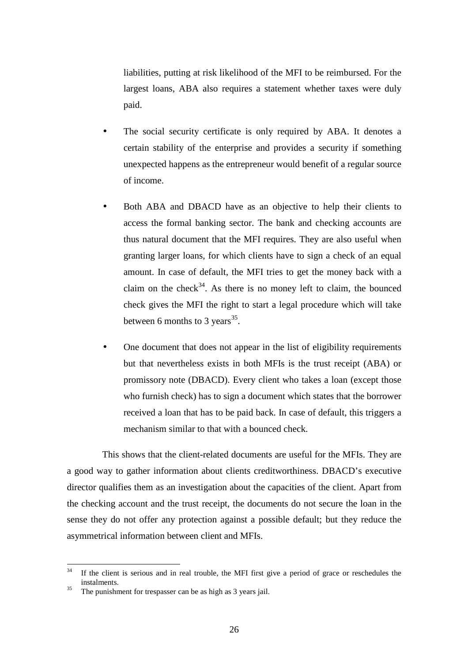liabilities, putting at risk likelihood of the MFI to be reimbursed. For the largest loans, ABA also requires a statement whether taxes were duly paid.

- The social security certificate is only required by ABA. It denotes a certain stability of the enterprise and provides a security if something unexpected happens as the entrepreneur would benefit of a regular source of income.
- Both ABA and DBACD have as an objective to help their clients to access the formal banking sector. The bank and checking accounts are thus natural document that the MFI requires. They are also useful when granting larger loans, for which clients have to sign a check of an equal amount. In case of default, the MFI tries to get the money back with a claim on the check<sup>34</sup>. As there is no money left to claim, the bounced check gives the MFI the right to start a legal procedure which will take between 6 months to 3 years<sup>35</sup>.
- One document that does not appear in the list of eligibility requirements but that nevertheless exists in both MFIs is the trust receipt (ABA) or promissory note (DBACD). Every client who takes a loan (except those who furnish check) has to sign a document which states that the borrower received a loan that has to be paid back. In case of default, this triggers a mechanism similar to that with a bounced check.

This shows that the client-related documents are useful for the MFIs. They are a good way to gather information about clients creditworthiness. DBACD's executive director qualifies them as an investigation about the capacities of the client. Apart from the checking account and the trust receipt, the documents do not secure the loan in the sense they do not offer any protection against a possible default; but they reduce the asymmetrical information between client and MFIs.

 $34$ If the client is serious and in real trouble, the MFI first give a period of grace or reschedules the instalments.

<sup>&</sup>lt;sup>35</sup> The punishment for trespasser can be as high as 3 years jail.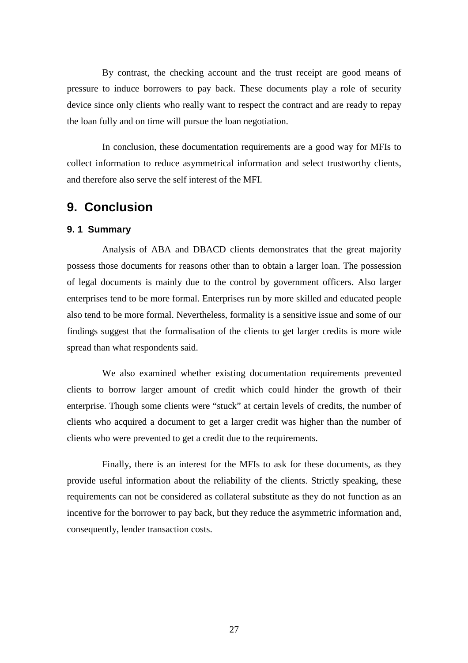By contrast, the checking account and the trust receipt are good means of pressure to induce borrowers to pay back. These documents play a role of security device since only clients who really want to respect the contract and are ready to repay the loan fully and on time will pursue the loan negotiation.

In conclusion, these documentation requirements are a good way for MFIs to collect information to reduce asymmetrical information and select trustworthy clients, and therefore also serve the self interest of the MFI.

## **9. Conclusion**

### **9. 1 Summary**

Analysis of ABA and DBACD clients demonstrates that the great majority possess those documents for reasons other than to obtain a larger loan. The possession of legal documents is mainly due to the control by government officers. Also larger enterprises tend to be more formal. Enterprises run by more skilled and educated people also tend to be more formal. Nevertheless, formality is a sensitive issue and some of our findings suggest that the formalisation of the clients to get larger credits is more wide spread than what respondents said.

We also examined whether existing documentation requirements prevented clients to borrow larger amount of credit which could hinder the growth of their enterprise. Though some clients were "stuck" at certain levels of credits, the number of clients who acquired a document to get a larger credit was higher than the number of clients who were prevented to get a credit due to the requirements.

Finally, there is an interest for the MFIs to ask for these documents, as they provide useful information about the reliability of the clients. Strictly speaking, these requirements can not be considered as collateral substitute as they do not function as an incentive for the borrower to pay back, but they reduce the asymmetric information and, consequently, lender transaction costs.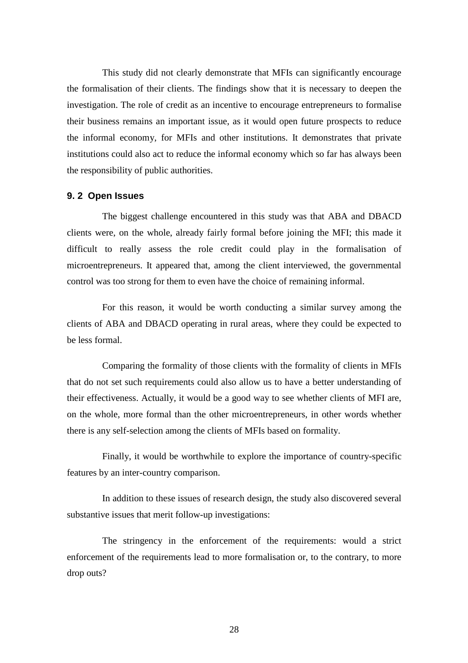This study did not clearly demonstrate that MFIs can significantly encourage the formalisation of their clients. The findings show that it is necessary to deepen the investigation. The role of credit as an incentive to encourage entrepreneurs to formalise their business remains an important issue, as it would open future prospects to reduce the informal economy, for MFIs and other institutions. It demonstrates that private institutions could also act to reduce the informal economy which so far has always been the responsibility of public authorities.

### **9. 2 Open Issues**

The biggest challenge encountered in this study was that ABA and DBACD clients were, on the whole, already fairly formal before joining the MFI; this made it difficult to really assess the role credit could play in the formalisation of microentrepreneurs. It appeared that, among the client interviewed, the governmental control was too strong for them to even have the choice of remaining informal.

For this reason, it would be worth conducting a similar survey among the clients of ABA and DBACD operating in rural areas, where they could be expected to be less formal.

Comparing the formality of those clients with the formality of clients in MFIs that do not set such requirements could also allow us to have a better understanding of their effectiveness. Actually, it would be a good way to see whether clients of MFI are, on the whole, more formal than the other microentrepreneurs, in other words whether there is any self-selection among the clients of MFIs based on formality.

Finally, it would be worthwhile to explore the importance of country-specific features by an inter-country comparison.

In addition to these issues of research design, the study also discovered several substantive issues that merit follow-up investigations:

The stringency in the enforcement of the requirements: would a strict enforcement of the requirements lead to more formalisation or, to the contrary, to more drop outs?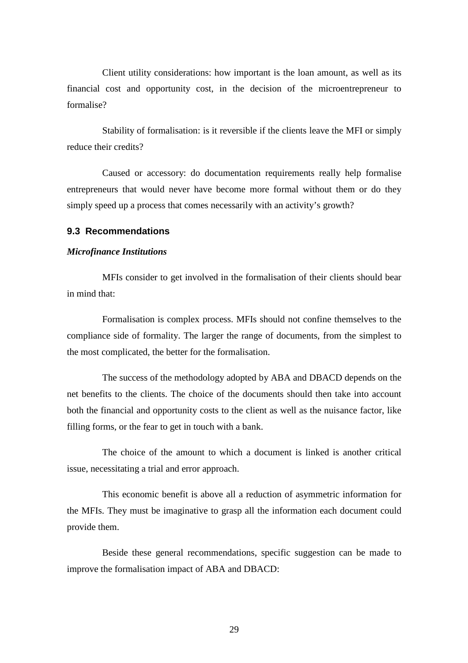Client utility considerations: how important is the loan amount, as well as its financial cost and opportunity cost, in the decision of the microentrepreneur to formalise?

Stability of formalisation: is it reversible if the clients leave the MFI or simply reduce their credits?

Caused or accessory: do documentation requirements really help formalise entrepreneurs that would never have become more formal without them or do they simply speed up a process that comes necessarily with an activity's growth?

### **9.3 Recommendations**

#### *Microfinance Institutions*

MFIs consider to get involved in the formalisation of their clients should bear in mind that:

Formalisation is complex process. MFIs should not confine themselves to the compliance side of formality. The larger the range of documents, from the simplest to the most complicated, the better for the formalisation.

The success of the methodology adopted by ABA and DBACD depends on the net benefits to the clients. The choice of the documents should then take into account both the financial and opportunity costs to the client as well as the nuisance factor, like filling forms, or the fear to get in touch with a bank.

The choice of the amount to which a document is linked is another critical issue, necessitating a trial and error approach.

This economic benefit is above all a reduction of asymmetric information for the MFIs. They must be imaginative to grasp all the information each document could provide them.

Beside these general recommendations, specific suggestion can be made to improve the formalisation impact of ABA and DBACD: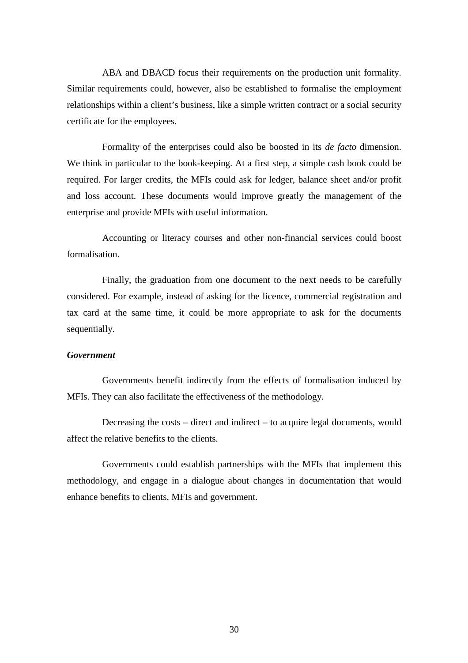ABA and DBACD focus their requirements on the production unit formality. Similar requirements could, however, also be established to formalise the employment relationships within a client's business, like a simple written contract or a social security certificate for the employees.

Formality of the enterprises could also be boosted in its *de facto* dimension. We think in particular to the book-keeping. At a first step, a simple cash book could be required. For larger credits, the MFIs could ask for ledger, balance sheet and/or profit and loss account. These documents would improve greatly the management of the enterprise and provide MFIs with useful information.

Accounting or literacy courses and other non-financial services could boost formalisation.

Finally, the graduation from one document to the next needs to be carefully considered. For example, instead of asking for the licence, commercial registration and tax card at the same time, it could be more appropriate to ask for the documents sequentially.

### *Government*

Governments benefit indirectly from the effects of formalisation induced by MFIs. They can also facilitate the effectiveness of the methodology.

Decreasing the costs – direct and indirect – to acquire legal documents, would affect the relative benefits to the clients.

Governments could establish partnerships with the MFIs that implement this methodology, and engage in a dialogue about changes in documentation that would enhance benefits to clients, MFIs and government.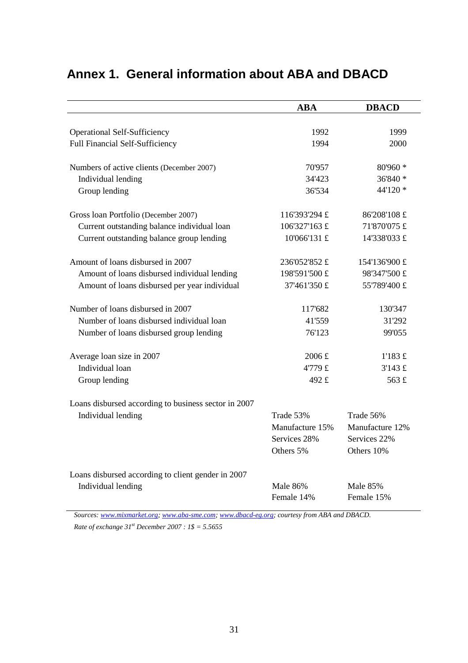|                                                      | <b>ABA</b>              | <b>DBACD</b>    |
|------------------------------------------------------|-------------------------|-----------------|
|                                                      |                         |                 |
| <b>Operational Self-Sufficiency</b>                  | 1992                    | 1999            |
| Full Financial Self-Sufficiency                      | 1994                    | 2000            |
| Numbers of active clients (December 2007)            | 70'957                  | $80'960$ *      |
| Individual lending                                   | 34'423                  | 36'840 *        |
| Group lending                                        | 36'534                  | 44'120 *        |
| Gross loan Portfolio (December 2007)                 | 116'393'294 £           | 86'208'108 £    |
| Current outstanding balance individual loan          | 106'327'163 £           | 71'870'075 £    |
| Current outstanding balance group lending            | 10'066'131 £            | 14'338'033 £    |
|                                                      |                         |                 |
| Amount of loans disbursed in 2007                    | 236'052'852 £           | 154'136'900 £   |
| Amount of loans disbursed individual lending         | 198'591'500 £           | 98'347'500 £    |
| Amount of loans disbursed per year individual        | 37'461'350 £            | 55'789'400 £    |
| Number of loans disbursed in 2007                    | 117'682                 | 130'347         |
| Number of loans disbursed individual loan            | 41'559                  | 31'292          |
| Number of loans disbursed group lending              | 76'123                  | 99'055          |
| Average loan size in 2007                            | $2006 \text{ } \pounds$ | $1'183 \pounds$ |
| Individual loan                                      | 4'779 £                 | 3'143 £         |
| Group lending                                        | 492 £                   | 563 £           |
|                                                      |                         |                 |
| Loans disbursed according to business sector in 2007 |                         |                 |
| Individual lending                                   | Trade 53%               | Trade 56%       |
|                                                      | Manufacture 15%         | Manufacture 12% |
|                                                      | Services 28%            | Services 22%    |
|                                                      | Others 5%               | Others 10%      |
| Loans disbursed according to client gender in 2007   |                         |                 |
| Individual lending                                   | Male 86%                | Male 85%        |
|                                                      | Female 14%              | Female 15%      |
|                                                      |                         |                 |

## **Annex 1. General information about ABA and DBACD**

*Sources: www.mixmarket.org; www.aba-sme.com; www.dbacd-eg.org; courtesy from ABA and DBACD. Rate of exchange 31st December 2007 : 1\$ = 5.5655*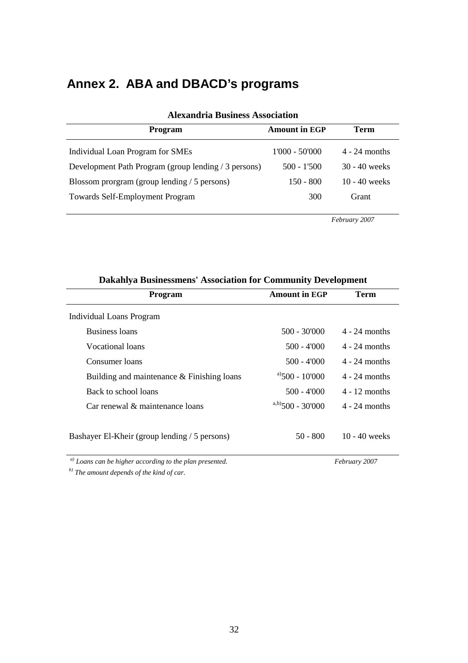# **Annex 2. ABA and DBACD's programs**

| <b>Alexandria Business Association</b>               |                      |                 |  |  |  |  |
|------------------------------------------------------|----------------------|-----------------|--|--|--|--|
| <b>Program</b>                                       | <b>Amount in EGP</b> | Term            |  |  |  |  |
| Individual Loan Program for SMEs                     | 1'000 - 50'000       | $4 - 24$ months |  |  |  |  |
| Development Path Program (group lending / 3 persons) | $500 - 1500$         | $30 - 40$ weeks |  |  |  |  |
| Blossom prorgram (group lending / 5 persons)         | $150 - 800$          | $10 - 40$ weeks |  |  |  |  |
| Towards Self-Employment Program                      | 300                  | Grant           |  |  |  |  |
|                                                      |                      |                 |  |  |  |  |

*February 2007* 

| <b>Program</b>                                | <b>Amount in EGP</b>   | Term            |
|-----------------------------------------------|------------------------|-----------------|
| Individual Loans Program                      |                        |                 |
| <b>Business loans</b>                         | $500 - 30000$          | $4 - 24$ months |
| Vocational loans                              | $500 - 4000$           | $4 - 24$ months |
| Consumer loans                                | $500 - 4000$           | $4 - 24$ months |
| Building and maintenance & Finishing loans    | $\mu^{a}$ 500 - 10'000 | $4 - 24$ months |
| Back to school loans                          | $500 - 4000$           | $4 - 12$ months |
| Car renewal $\&$ maintenance loans            | $a,b)$ 500 - 30'000    | $4 - 24$ months |
| Bashayer El-Kheir (group lending / 5 persons) | $50 - 800$             | $10 - 40$ weeks |

### **Dakahlya Businessmens' Association for Community Development**

<sup>*a*)</sup> *Loans can be higher according to the plan presented.* February 2007

*b) The amount depends of the kind of car.*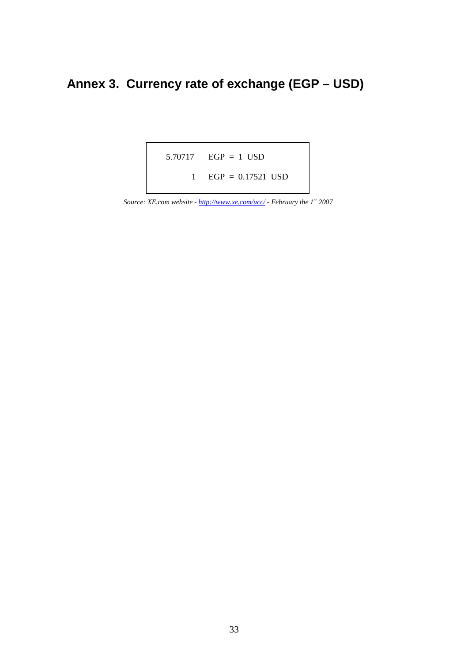## **Annex 3. Currency rate of exchange (EGP – USD)**

5.70717 EGP = 1 USD 1 EGP = 0.17521 USD

*Source: XE.com website - http://www.xe.com/ucc/ - February the 1st 2007*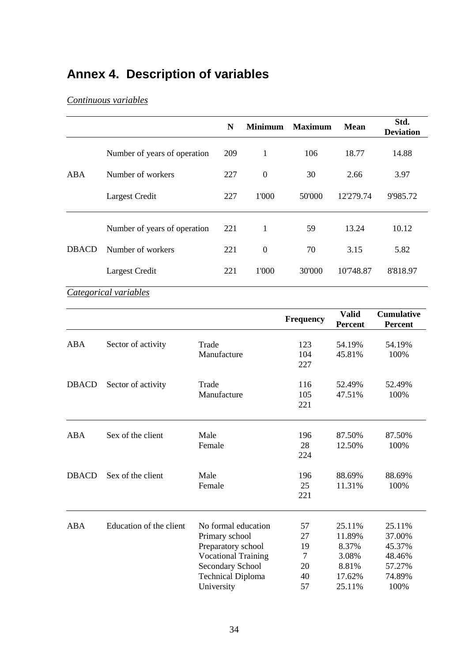# **Annex 4. Description of variables**

## *Continuous variables*

|              |                              | N   | <b>Minimum</b>   | <b>Maximum</b> | <b>Mean</b> | Std.<br><b>Deviation</b> |
|--------------|------------------------------|-----|------------------|----------------|-------------|--------------------------|
|              | Number of years of operation | 209 | 1                | 106            | 18.77       | 14.88                    |
| ABA          | Number of workers            | 227 | $\boldsymbol{0}$ | 30             | 2.66        | 3.97                     |
|              | Largest Credit               | 227 | 1'000            | 50'000         | 12'279.74   | 9'985.72                 |
|              | Number of years of operation | 221 | 1                | 59             | 13.24       | 10.12                    |
| <b>DBACD</b> | Number of workers            | 221 | $\overline{0}$   | 70             | 3.15        | 5.82                     |
|              | Largest Credit               | 221 | 1'000            | 30'000         | 10'748.87   | 8'818.97                 |
|              |                              |     |                  |                |             |                          |

#### *Categorical variables*

|              |                         |                            | <b>Frequency</b> | <b>Valid</b><br><b>Percent</b> | <b>Cumulative</b><br><b>Percent</b> |
|--------------|-------------------------|----------------------------|------------------|--------------------------------|-------------------------------------|
| <b>ABA</b>   | Sector of activity      | Trade                      | 123              | 54.19%                         | 54.19%                              |
|              |                         | Manufacture                | 104<br>227       | 45.81%                         | 100%                                |
| <b>DBACD</b> | Sector of activity      | Trade                      | 116              | 52.49%                         | 52.49%                              |
|              |                         | Manufacture                | 105<br>221       | 47.51%                         | 100%                                |
| <b>ABA</b>   | Sex of the client       | Male                       | 196              | 87.50%                         | 87.50%                              |
|              |                         | Female                     | 28<br>224        | 12.50%                         | 100%                                |
| <b>DBACD</b> | Sex of the client       | Male<br>Female             | 196<br>25        | 88.69%<br>11.31%               | 88.69%<br>100%                      |
|              |                         |                            | 221              |                                |                                     |
| ABA          | Education of the client | No formal education        | 57               | 25.11%                         | 25.11%                              |
|              |                         | Primary school             | 27               | 11.89%                         | 37.00%                              |
|              |                         | Preparatory school         | 19               | 8.37%                          | 45.37%                              |
|              |                         | <b>Vocational Training</b> | $\tau$           | 3.08%                          | 48.46%                              |
|              |                         | Secondary School           | 20               | 8.81%                          | 57.27%                              |
|              |                         | <b>Technical Diploma</b>   | 40               | 17.62%                         | 74.89%                              |
|              |                         | University                 | 57               | 25.11%                         | 100%                                |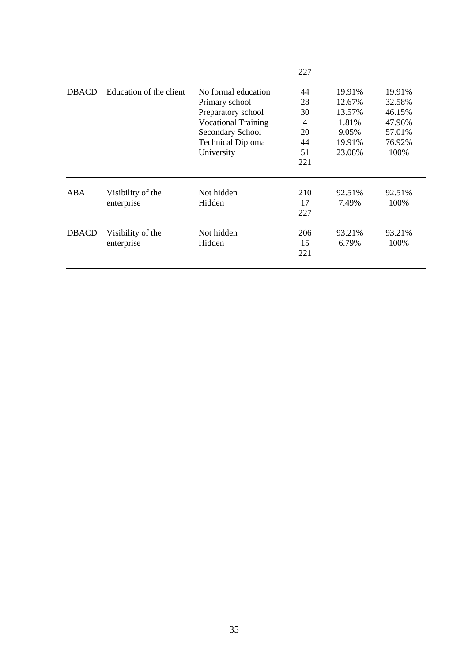|              |                         |                            | 227            |        |        |
|--------------|-------------------------|----------------------------|----------------|--------|--------|
| <b>DBACD</b> | Education of the client | No formal education        | 44             | 19.91% | 19.91% |
|              |                         | Primary school             | 28             | 12.67% | 32.58% |
|              |                         | Preparatory school         | 30             | 13.57% | 46.15% |
|              |                         | <b>Vocational Training</b> | $\overline{4}$ | 1.81%  | 47.96% |
|              |                         | Secondary School           | 20             | 9.05%  | 57.01% |
|              |                         | <b>Technical Diploma</b>   | 44             | 19.91% | 76.92% |
|              |                         | University                 | 51             | 23.08% | 100%   |
|              |                         |                            | 221            |        |        |
| ABA          | Visibility of the       | Not hidden                 | 210            | 92.51% | 92.51% |
|              | enterprise              | Hidden                     | 17             | 7.49%  | 100%   |
|              |                         |                            | 227            |        |        |
| <b>DBACD</b> | Visibility of the       | Not hidden                 | 206            | 93.21% | 93.21% |
|              | enterprise              | Hidden                     | 15             | 6.79%  | 100%   |
|              |                         |                            | 221            |        |        |
|              |                         |                            |                |        |        |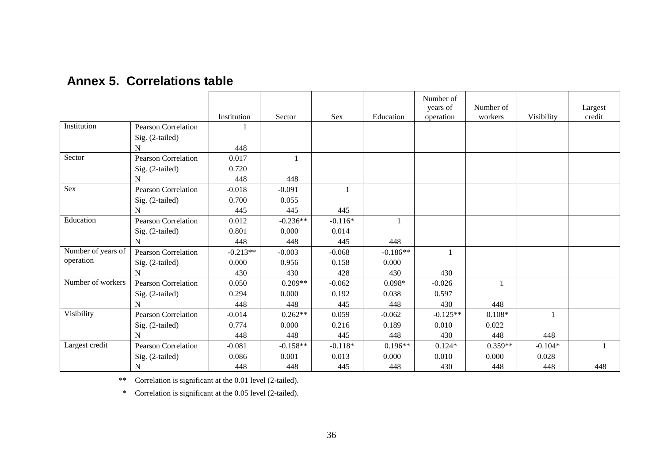|                    |                            | Institution | Sector     | Sex       | Education  | Number of<br>years of<br>operation | Number of<br>workers | Visibility | Largest<br>credit |
|--------------------|----------------------------|-------------|------------|-----------|------------|------------------------------------|----------------------|------------|-------------------|
| Institution        | <b>Pearson Correlation</b> |             |            |           |            |                                    |                      |            |                   |
|                    | Sig. (2-tailed)            |             |            |           |            |                                    |                      |            |                   |
|                    | N                          | 448         |            |           |            |                                    |                      |            |                   |
| Sector             | <b>Pearson Correlation</b> | 0.017       |            |           |            |                                    |                      |            |                   |
|                    | Sig. (2-tailed)            | 0.720       |            |           |            |                                    |                      |            |                   |
|                    | N                          | 448         | 448        |           |            |                                    |                      |            |                   |
| Sex                | <b>Pearson Correlation</b> | $-0.018$    | $-0.091$   |           |            |                                    |                      |            |                   |
|                    | Sig. (2-tailed)            | 0.700       | 0.055      |           |            |                                    |                      |            |                   |
|                    | N                          | 445         | 445        | 445       |            |                                    |                      |            |                   |
| Education          | <b>Pearson Correlation</b> | 0.012       | $-0.236**$ | $-0.116*$ | 1          |                                    |                      |            |                   |
|                    | Sig. (2-tailed)            | 0.801       | 0.000      | 0.014     |            |                                    |                      |            |                   |
|                    | N                          | 448         | 448        | 445       | 448        |                                    |                      |            |                   |
| Number of years of | <b>Pearson Correlation</b> | $-0.213**$  | $-0.003$   | $-0.068$  | $-0.186**$ |                                    |                      |            |                   |
| operation          | Sig. (2-tailed)            | 0.000       | 0.956      | 0.158     | 0.000      |                                    |                      |            |                   |
|                    | N                          | 430         | 430        | 428       | 430        | 430                                |                      |            |                   |
| Number of workers  | <b>Pearson Correlation</b> | 0.050       | $0.209**$  | $-0.062$  | $0.098*$   | $-0.026$                           |                      |            |                   |
|                    | Sig. (2-tailed)            | 0.294       | 0.000      | 0.192     | 0.038      | 0.597                              |                      |            |                   |
|                    | N                          | 448         | 448        | 445       | 448        | 430                                | 448                  |            |                   |
| Visibility         | <b>Pearson Correlation</b> | $-0.014$    | $0.262**$  | 0.059     | $-0.062$   | $-0.125**$                         | $0.108*$             |            |                   |
|                    | Sig. (2-tailed)            | 0.774       | 0.000      | 0.216     | 0.189      | 0.010                              | 0.022                |            |                   |
|                    | N                          | 448         | 448        | 445       | 448        | 430                                | 448                  | 448        |                   |
| Largest credit     | <b>Pearson Correlation</b> | $-0.081$    | $-0.158**$ | $-0.118*$ | $0.196**$  | $0.124*$                           | $0.359**$            | $-0.104*$  | $\mathbf{1}$      |
|                    | Sig. (2-tailed)            | 0.086       | 0.001      | 0.013     | 0.000      | 0.010                              | 0.000                | 0.028      |                   |
|                    | N                          | 448         | 448        | 445       | 448        | 430                                | 448                  | 448        | 448               |

## **Annex 5. Correlations table**

\*\* Correlation is significant at the 0.01 level (2-tailed).

\* Correlation is significant at the 0.05 level (2-tailed).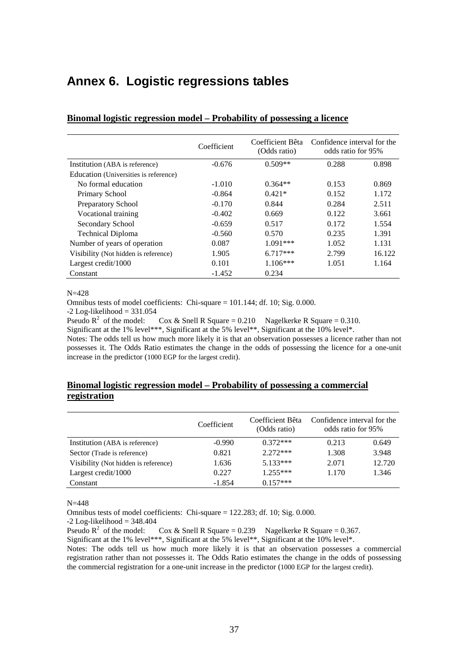## **Annex 6. Logistic regressions tables**

|                                       | Coefficient | Coefficient Bêta<br>(Odds ratio) | Confidence interval for the<br>odds ratio for 95% |        |
|---------------------------------------|-------------|----------------------------------|---------------------------------------------------|--------|
| Institution (ABA is reference)        | $-0.676$    | $0.509**$                        | 0.288                                             | 0.898  |
| Education (Universities is reference) |             |                                  |                                                   |        |
| No formal education                   | $-1.010$    | $0.364**$                        | 0.153                                             | 0.869  |
| Primary School                        | $-0.864$    | $0.421*$                         | 0.152                                             | 1.172  |
| <b>Preparatory School</b>             | $-0.170$    | 0.844                            | 0.284                                             | 2.511  |
| Vocational training                   | $-0.402$    | 0.669                            | 0.122                                             | 3.661  |
| Secondary School                      | $-0.659$    | 0.517                            | 0.172                                             | 1.554  |
| <b>Technical Diploma</b>              | $-0.560$    | 0.570                            | 0.235                                             | 1.391  |
| Number of years of operation          | 0.087       | $1.091***$                       | 1.052                                             | 1.131  |
| Visibility (Not hidden is reference)  | 1.905       | $6.717***$                       | 2.799                                             | 16.122 |
| Largest credit/1000                   | 0.101       | $1.106***$                       | 1.051                                             | 1.164  |
| Constant                              | $-1.452$    | 0.234                            |                                                   |        |

### **Binomal logistic regression model – Probability of possessing a licence**

N=428

Omnibus tests of model coefficients: Chi-square = 101.144; df. 10; Sig. 0.000.

 $-2$  Log-likelihood = 331.054

Pseudo  $R^2$  of the model: Cox & Snell R Square =  $0.210$  Nagelkerke R Square =  $0.310$ .

Significant at the 1% level\*\*\*, Significant at the 5% level\*\*, Significant at the 10% level\*.

Notes: The odds tell us how much more likely it is that an observation possesses a licence rather than not possesses it. The Odds Ratio estimates the change in the odds of possessing the licence for a one-unit increase in the predictor (1000 EGP for the largest credit).

### **Binomal logistic regression model – Probability of possessing a commercial registration**

|                                      | Coefficient | Coefficient Bêta<br>(Odds ratio) | Confidence interval for the<br>odds ratio for 95% |        |
|--------------------------------------|-------------|----------------------------------|---------------------------------------------------|--------|
| Institution (ABA is reference)       | $-0.990$    | $0.372***$                       | 0.213                                             | 0.649  |
| Sector (Trade is reference)          | 0.821       | $2.272***$                       | 1.308                                             | 3.948  |
| Visibility (Not hidden is reference) | 1.636       | $5.133***$                       | 2.071                                             | 12.720 |
| Largest credit/1000                  | 0.227       | $1.255***$                       | 1.170                                             | 1.346  |
| Constant                             | $-1.854$    | $0.157***$                       |                                                   |        |

N=448

Omnibus tests of model coefficients: Chi-square = 122.283; df. 10; Sig. 0.000.

 $-2$  Log-likelihood = 348.404

Pseudo  $R^2$  of the model: Cox & Snell R Square = 0.239 Nagelkerke R Square = 0.367.

Significant at the 1% level\*\*\*, Significant at the 5% level\*\*, Significant at the 10% level\*.

Notes: The odds tell us how much more likely it is that an observation possesses a commercial registration rather than not possesses it. The Odds Ratio estimates the change in the odds of possessing the commercial registration for a one-unit increase in the predictor (1000 EGP for the largest credit).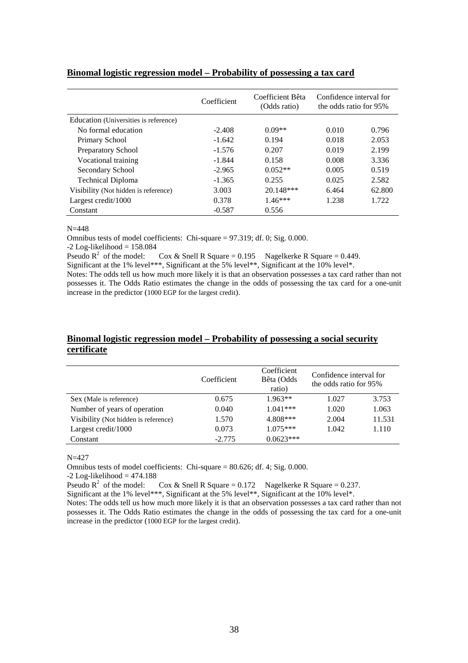|                                       | Coefficient | Coefficient Bêta<br>(Odds ratio) | Confidence interval for<br>the odds ratio for 95% |        |
|---------------------------------------|-------------|----------------------------------|---------------------------------------------------|--------|
| Education (Universities is reference) |             |                                  |                                                   |        |
| No formal education                   | $-2.408$    | $0.09**$                         | 0.010                                             | 0.796  |
| Primary School                        | $-1.642$    | 0.194                            | 0.018                                             | 2.053  |
| <b>Preparatory School</b>             | $-1.576$    | 0.207                            | 0.019                                             | 2.199  |
| Vocational training                   | $-1.844$    | 0.158                            | 0.008                                             | 3.336  |
| Secondary School                      | $-2.965$    | $0.052**$                        | 0.005                                             | 0.519  |
| <b>Technical Diploma</b>              | $-1.365$    | 0.255                            | 0.025                                             | 2.582  |
| Visibility (Not hidden is reference)  | 3.003       | $20.148***$                      | 6.464                                             | 62.800 |
| Largest credit/1000                   | 0.378       | $1.46***$                        | 1.238                                             | 1.722  |
| Constant                              | $-0.587$    | 0.556                            |                                                   |        |

### **Binomal logistic regression model – Probability of possessing a tax card**

#### N=448

Omnibus tests of model coefficients: Chi-square = 97.319; df. 0; Sig. 0.000.

 $-2$  Log-likelihood = 158.084

Pseudo  $R^2$  of the model: Cox & Snell R Square = 0.195 Nagelkerke R Square = 0.449.

Significant at the 1% level\*\*\*, Significant at the 5% level\*\*, Significant at the 10% level\*.

Notes: The odds tell us how much more likely it is that an observation possesses a tax card rather than not possesses it. The Odds Ratio estimates the change in the odds of possessing the tax card for a one-unit increase in the predictor (1000 EGP for the largest credit).

### **Binomal logistic regression model – Probability of possessing a social security certificate**

| Coefficient | Coefficient<br>Bêta (Odds<br>ratio) | Confidence interval for<br>the odds ratio for 95% |        |
|-------------|-------------------------------------|---------------------------------------------------|--------|
| 0.675       | $1.963**$                           | 1.027                                             | 3.753  |
| 0.040       | $1.041***$                          | 1.020                                             | 1.063  |
| 1.570       | 4.808***                            | 2.004                                             | 11.531 |
| 0.073       | $1.075***$                          | 1.042                                             | 1.110  |
| $-2.775$    | $0.0623***$                         |                                                   |        |
|             |                                     |                                                   |        |

N=427

Omnibus tests of model coefficients: Chi-square = 80.626; df. 4; Sig. 0.000.

 $-2$  Log-likelihood = 474.188

Pseudo  $R^2$  of the model: Cox & Snell R Square =  $0.172$  Nagelkerke R Square = 0.237.

Significant at the 1% level\*\*\*, Significant at the 5% level\*\*, Significant at the 10% level\*.

Notes: The odds tell us how much more likely it is that an observation possesses a tax card rather than not possesses it. The Odds Ratio estimates the change in the odds of possessing the tax card for a one-unit increase in the predictor (1000 EGP for the largest credit).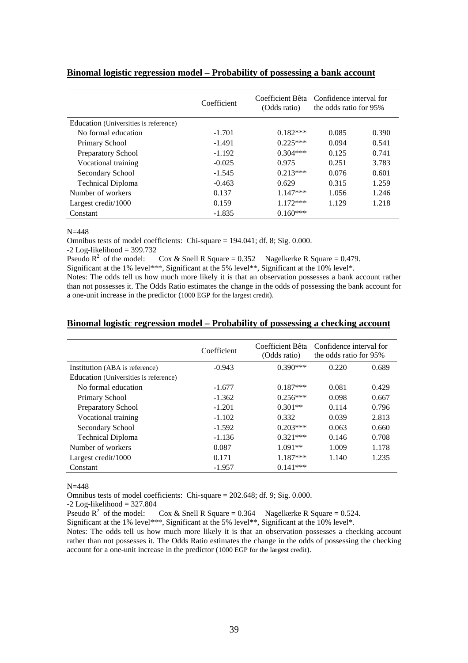|                                       | Coefficient | Coefficient Bêta<br>(Odds ratio) | Confidence interval for<br>the odds ratio for 95% |       |
|---------------------------------------|-------------|----------------------------------|---------------------------------------------------|-------|
| Education (Universities is reference) |             |                                  |                                                   |       |
| No formal education                   | $-1.701$    | $0.182***$                       | 0.085                                             | 0.390 |
| Primary School                        | $-1.491$    | $0.225***$                       | 0.094                                             | 0.541 |
| Preparatory School                    | $-1.192$    | $0.304***$                       | 0.125                                             | 0.741 |
| Vocational training                   | $-0.025$    | 0.975                            | 0.251                                             | 3.783 |
| Secondary School                      | $-1.545$    | $0.213***$                       | 0.076                                             | 0.601 |
| <b>Technical Diploma</b>              | $-0.463$    | 0.629                            | 0.315                                             | 1.259 |
| Number of workers                     | 0.137       | $1.147***$                       | 1.056                                             | 1.246 |
| Largest credit/1000                   | 0.159       | $1.172***$                       | 1.129                                             | 1.218 |
| Constant                              | $-1.835$    | $0.160***$                       |                                                   |       |

### **Binomal logistic regression model – Probability of possessing a bank account**

#### N=448

Omnibus tests of model coefficients: Chi-square = 194.041; df. 8; Sig. 0.000.

 $-2$  Log-likelihood = 399.732

Pseudo  $R^2$  of the model: Cox & Snell R Square =  $0.352$  Nagelkerke R Square = 0.479.

Significant at the 1% level\*\*\*, Significant at the 5% level\*\*, Significant at the 10% level\*.

Notes: The odds tell us how much more likely it is that an observation possesses a bank account rather than not possesses it. The Odds Ratio estimates the change in the odds of possessing the bank account for a one-unit increase in the predictor (1000 EGP for the largest credit).

### **Binomal logistic regression model – Probability of possessing a checking account**

|                                       | Coefficient | Coefficient Bêta<br>(Odds ratio) | Confidence interval for<br>the odds ratio for 95% |       |
|---------------------------------------|-------------|----------------------------------|---------------------------------------------------|-------|
| Institution (ABA is reference)        | $-0.943$    | $0.390***$                       | 0.220                                             | 0.689 |
| Education (Universities is reference) |             |                                  |                                                   |       |
| No formal education                   | $-1.677$    | $0.187***$                       | 0.081                                             | 0.429 |
| Primary School                        | $-1.362$    | $0.256***$                       | 0.098                                             | 0.667 |
| <b>Preparatory School</b>             | $-1.201$    | $0.301**$                        | 0.114                                             | 0.796 |
| Vocational training                   | $-1.102$    | 0.332                            | 0.039                                             | 2.813 |
| Secondary School                      | $-1.592$    | $0.203***$                       | 0.063                                             | 0.660 |
| <b>Technical Diploma</b>              | $-1.136$    | $0.321***$                       | 0.146                                             | 0.708 |
| Number of workers                     | 0.087       | $1.091**$                        | 1.009                                             | 1.178 |
| Largest credit/1000                   | 0.171       | $1.187***$                       | 1.140                                             | 1.235 |
| Constant                              | $-1.957$    | $0.141***$                       |                                                   |       |

#### N=448

Omnibus tests of model coefficients: Chi-square = 202.648; df. 9; Sig. 0.000.

 $-2$  Log-likelihood = 327.804

Pseudo  $R^2$  of the model: Cox & Snell R Square = 0.364 Nagelkerke R Square = 0.524.

Significant at the 1% level\*\*\*, Significant at the 5% level\*\*, Significant at the 10% level\*.

Notes: The odds tell us how much more likely it is that an observation possesses a checking account rather than not possesses it. The Odds Ratio estimates the change in the odds of possessing the checking account for a one-unit increase in the predictor (1000 EGP for the largest credit).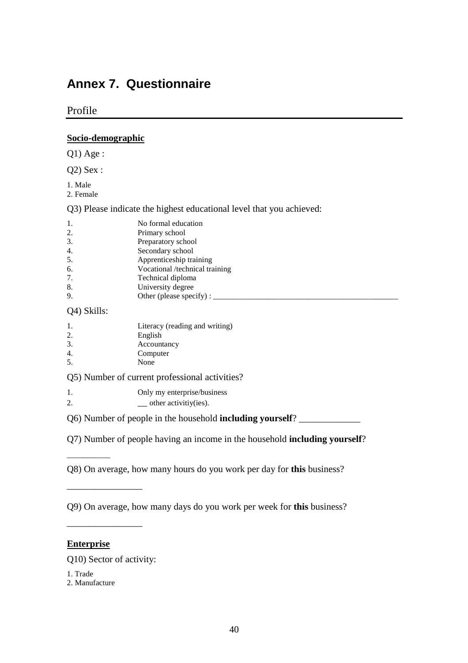## **Annex 7. Questionnaire**

Profile

### **Socio-demographic**

Q1) Age :

Q2) Sex :

1. Male

2. Female

Q3) Please indicate the highest educational level that you achieved:

| 1.               | No formal education            |
|------------------|--------------------------------|
| 2.               | Primary school                 |
| 3.               | Preparatory school             |
| $\overline{4}$ . | Secondary school               |
| 5.               | Apprenticeship training        |
| 6.               | Vocational /technical training |
| 7.               | Technical diploma              |
| 8.               | University degree              |
|                  | Other (please specify):        |
|                  |                                |

Q4) Skills:

| 1.<br>2. | Literacy (reading and writing)<br>English |
|----------|-------------------------------------------|
| 3.       | Accountancy                               |
| 4.       | Computer                                  |
| .5.      | None                                      |
|          |                                           |

Q5) Number of current professional activities?

1. Only my enterprise/business

2. *\_\_* other activitiy(ies).

Q6) Number of people in the household **including yourself**? \_\_\_\_\_\_\_\_\_\_\_\_\_

Q7) Number of people having an income in the household **including yourself**?

Q8) On average, how many hours do you work per day for **this** business?

Q9) On average, how many days do you work per week for **this** business?

### **Enterprise**

\_\_\_\_\_\_\_\_\_\_\_

Q10) Sector of activity:

\_\_\_\_\_\_\_\_\_\_\_\_\_\_\_\_

\_\_\_\_\_\_\_\_\_\_\_\_\_\_\_\_

1. Trade

2. Manufacture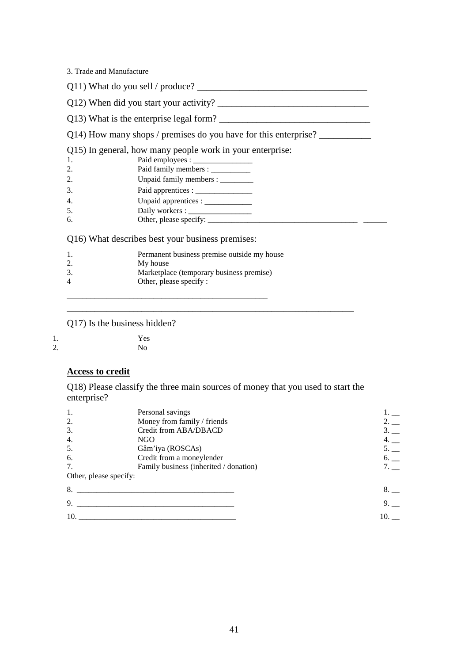3. Trade and Manufacture

| 11 november 1916 november 1                      |                                                                                                                                     |  |  |  |
|--------------------------------------------------|-------------------------------------------------------------------------------------------------------------------------------------|--|--|--|
| Q11) What do you sell / produce?                 |                                                                                                                                     |  |  |  |
|                                                  |                                                                                                                                     |  |  |  |
|                                                  | Q13) What is the enterprise legal form?                                                                                             |  |  |  |
|                                                  | Q14) How many shops / premises do you have for this enterprise?                                                                     |  |  |  |
| 1.<br>2.<br>2.<br>3.<br>4.<br>5.<br>6.           | Q15) In general, how many people work in your enterprise:<br>Paid family members : ____________<br>Unpaid family members : ________ |  |  |  |
| Q16) What describes best your business premises: |                                                                                                                                     |  |  |  |
| 1.                                               | Permanent business premise outside my house                                                                                         |  |  |  |

|                | Permanent business premise outside my house |
|----------------|---------------------------------------------|
| 2.             | My house                                    |
| 3.             | Marketplace (temporary business premise)    |
| $\overline{4}$ | Other, please specify :                     |
|                |                                             |
|                |                                             |

Q17) Is the business hidden?

| 1. | Yes            |
|----|----------------|
| 2. | N <sub>0</sub> |

### **Access to credit**

Q18) Please classify the three main sources of money that you used to start the enterprise?

\_\_\_\_\_\_\_\_\_\_\_\_\_\_\_\_\_\_\_\_\_\_\_\_\_\_\_\_\_\_\_\_\_\_\_\_\_\_\_\_\_\_\_\_\_\_\_\_\_\_\_\_\_\_\_\_\_\_\_\_\_\_\_\_\_\_\_\_\_\_\_\_\_

| 1.                     | Personal savings                       |    |
|------------------------|----------------------------------------|----|
| 2.                     | Money from family / friends            | 2. |
| 3.                     | Credit from ABA/DBACD                  | 3. |
| 4.                     | NGO                                    | 4. |
| 5.                     | Gâm'iya (ROSCAs)                       | 5. |
| 6.                     | Credit from a moneylender              | 6. |
| 7.                     | Family business (inherited / donation) | 7. |
| Other, please specify: |                                        |    |
| 8.                     |                                        |    |
| 9.                     |                                        | 9. |
| 10.                    |                                        |    |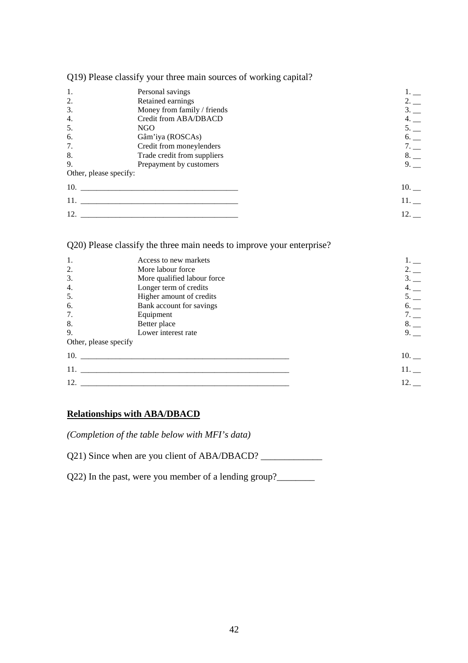| $\sim$ $\sim$ $\sim$   |                             |                                                                    |
|------------------------|-----------------------------|--------------------------------------------------------------------|
| 1.                     | Personal savings            |                                                                    |
| 2.                     | Retained earnings           | 2.                                                                 |
| 3.                     | Money from family / friends |                                                                    |
| 4.                     | Credit from ABA/DBACD       |                                                                    |
| 5.                     | NGO                         |                                                                    |
| 6.                     | Gâm'iya (ROSCAs)            | $3. -$<br>$4. -$<br>$5. -$<br>$6. -$<br>$7. -$<br>$8. -$<br>$9. -$ |
| 7.                     | Credit from moneylenders    |                                                                    |
| 8.                     | Trade credit from suppliers |                                                                    |
| 9.                     | Prepayment by customers     |                                                                    |
| Other, please specify: |                             |                                                                    |
|                        | $10.$ $\qquad \qquad$       | $10.$ $\__$                                                        |
| 11.                    |                             |                                                                    |
| 12.                    |                             |                                                                    |
|                        |                             |                                                                    |

Q19) Please classify your three main sources of working capital?

Q20) Please classify the three main needs to improve your enterprise?

| 1.                    | Access to new markets       |                                              |
|-----------------------|-----------------------------|----------------------------------------------|
| 2.                    | More labour force           | 2.                                           |
| 3.                    | More qualified labour force |                                              |
| 4.                    | Longer term of credits      | $3. -$<br>$4. -$<br>$5. -$<br>$6. -$         |
| 5.                    | Higher amount of credits    |                                              |
| 6.                    | Bank account for savings    |                                              |
| 7.                    | Equipment                   | 7.                                           |
| 8.                    | Better place                |                                              |
| 9.                    | Lower interest rate         | $\begin{array}{c} 8. \\ 9. \\ - \end{array}$ |
| Other, please specify |                             |                                              |
| 10. $\qquad$          |                             | $10.$ —                                      |
| 11.                   |                             | 11.                                          |
| 12.                   |                             |                                              |

### **Relationships with ABA/DBACD**

*(Completion of the table below with MFI's data)*

Q21) Since when are you client of ABA/DBACD?

Q22) In the past, were you member of a lending group?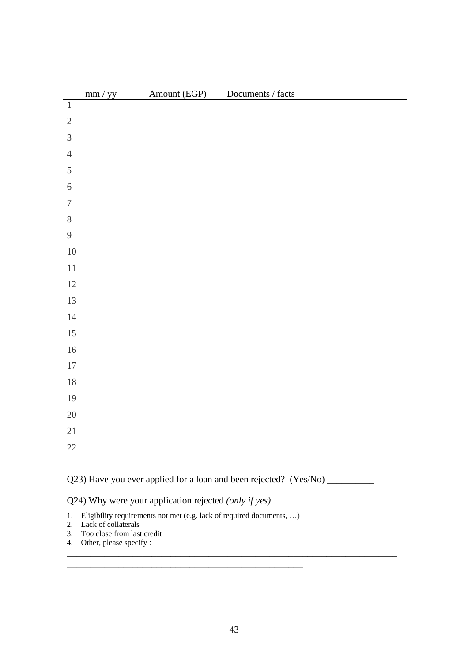|                  | mm / yy | Amount (EGP) | Documents / facts                                                          |
|------------------|---------|--------------|----------------------------------------------------------------------------|
| $\,1\,$          |         |              |                                                                            |
| $\sqrt{2}$       |         |              |                                                                            |
| $\mathfrak{Z}$   |         |              |                                                                            |
| $\overline{4}$   |         |              |                                                                            |
| $\sqrt{5}$       |         |              |                                                                            |
| $\sqrt{6}$       |         |              |                                                                            |
| $\boldsymbol{7}$ |         |              |                                                                            |
| $8\,$            |         |              |                                                                            |
| 9                |         |              |                                                                            |
| $10\,$           |         |              |                                                                            |
| $11\,$           |         |              |                                                                            |
| $12\,$           |         |              |                                                                            |
| $13\,$           |         |              |                                                                            |
| $14\,$           |         |              |                                                                            |
| $15\,$           |         |              |                                                                            |
| $16\,$           |         |              |                                                                            |
| $17\,$           |         |              |                                                                            |
| $18\,$           |         |              |                                                                            |
| 19               |         |              |                                                                            |
| $20\,$           |         |              |                                                                            |
| $21\,$           |         |              |                                                                            |
| $22\,$           |         |              |                                                                            |
|                  |         |              |                                                                            |
|                  |         |              | Q23) Have you ever applied for a loan and been rejected? (Yes/No) ________ |

Q24) Why were your application rejected *(only if yes)*

1. Eligibility requirements not met (e.g. lack of required documents, …)

\_\_\_\_\_\_\_\_\_\_\_\_\_\_\_\_\_\_\_\_\_\_\_\_\_\_\_\_\_\_\_\_\_\_\_\_\_\_\_\_\_\_\_\_\_\_\_\_\_\_

- 2. Lack of collaterals
- 3. Too close from last credit
- 4. Other, please specify : \_\_\_\_\_\_\_\_\_\_\_\_\_\_\_\_\_\_\_\_\_\_\_\_\_\_\_\_\_\_\_\_\_\_\_\_\_\_\_\_\_\_\_\_\_\_\_\_\_\_\_\_\_\_\_\_\_\_\_\_\_\_\_\_\_\_\_\_\_\_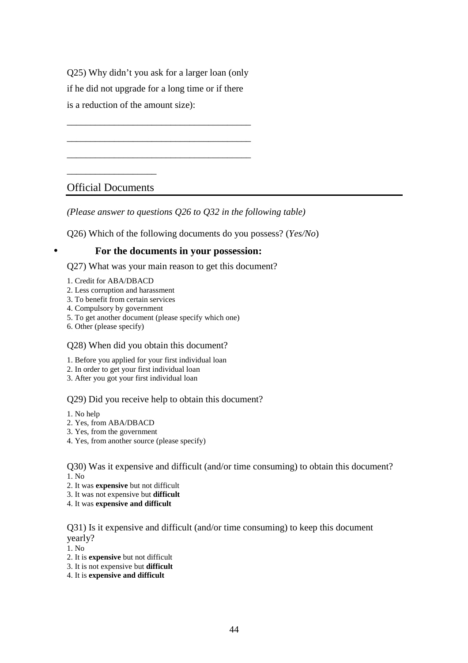Q25) Why didn't you ask for a larger loan (only if he did not upgrade for a long time or if there is a reduction of the amount size):

\_\_\_\_\_\_\_\_\_\_\_\_\_\_\_\_\_\_\_\_\_\_\_\_\_\_\_\_\_\_\_\_\_\_\_\_\_\_\_

\_\_\_\_\_\_\_\_\_\_\_\_\_\_\_\_\_\_\_\_\_\_\_\_\_\_\_\_\_\_\_\_\_\_\_\_\_\_\_

\_\_\_\_\_\_\_\_\_\_\_\_\_\_\_\_\_\_\_\_\_\_\_\_\_\_\_\_\_\_\_\_\_\_\_\_\_\_\_

Official Documents

\_\_\_\_\_\_\_\_\_\_\_\_\_\_\_\_\_\_\_

*(Please answer to questions Q26 to Q32 in the following table)* 

Q26) Which of the following documents do you possess? (*Yes/No*)

### • **For the documents in your possession:**

Q27) What was your main reason to get this document?

- 1. Credit for ABA/DBACD
- 2. Less corruption and harassment
- 3. To benefit from certain services
- 4. Compulsory by government
- 5. To get another document (please specify which one)
- 6. Other (please specify)

### Q28) When did you obtain this document?

- 1. Before you applied for your first individual loan
- 2. In order to get your first individual loan
- 3. After you got your first individual loan

### Q29) Did you receive help to obtain this document?

- 1. No help
- 2. Yes, from ABA/DBACD
- 3. Yes, from the government
- 4. Yes, from another source (please specify)

Q30) Was it expensive and difficult (and/or time consuming) to obtain this document? 1. No

2. It was **expensive** but not difficult

3. It was not expensive but **difficult**

4. It was **expensive and difficult**

Q31) Is it expensive and difficult (and/or time consuming) to keep this document yearly?

1. No

- 2. It is **expensive** but not difficult
- 3. It is not expensive but **difficult**
- 4. It is **expensive and difficult**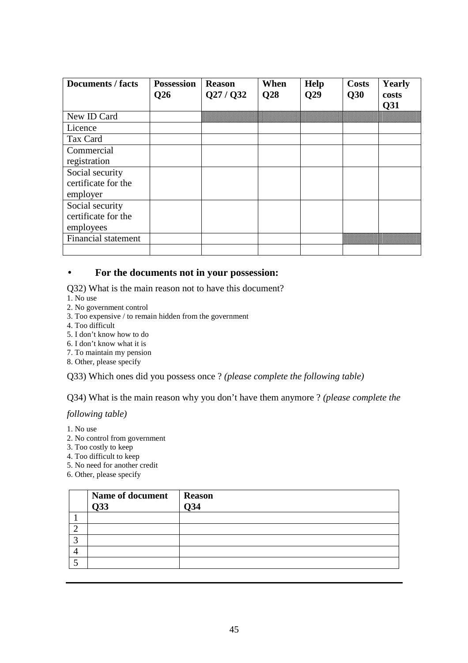| <b>Documents / facts</b>   | <b>Possession</b><br>Q <sub>26</sub> | <b>Reason</b><br>Q27 / Q32 | When<br>Q28 | <b>Help</b><br>Q29 | <b>Costs</b><br>Q30 | Yearly<br>costs |
|----------------------------|--------------------------------------|----------------------------|-------------|--------------------|---------------------|-----------------|
|                            |                                      |                            |             |                    |                     | Q <sub>31</sub> |
| New ID Card                |                                      |                            |             |                    |                     |                 |
| Licence                    |                                      |                            |             |                    |                     |                 |
| Tax Card                   |                                      |                            |             |                    |                     |                 |
| Commercial                 |                                      |                            |             |                    |                     |                 |
| registration               |                                      |                            |             |                    |                     |                 |
| Social security            |                                      |                            |             |                    |                     |                 |
| certificate for the        |                                      |                            |             |                    |                     |                 |
| employer                   |                                      |                            |             |                    |                     |                 |
| Social security            |                                      |                            |             |                    |                     |                 |
| certificate for the        |                                      |                            |             |                    |                     |                 |
| employees                  |                                      |                            |             |                    |                     |                 |
| <b>Financial statement</b> |                                      |                            |             |                    |                     |                 |
|                            |                                      |                            |             |                    |                     |                 |

### • **For the documents not in your possession:**

Q32) What is the main reason not to have this document?

1. No use

- 2. No government control
- 3. Too expensive / to remain hidden from the government
- 4. Too difficult
- 5. I don't know how to do
- 6. I don't know what it is
- 7. To maintain my pension
- 8. Other, please specify

Q33) Which ones did you possess once ? *(please complete the following table)*

Q34) What is the main reason why you don't have them anymore ? *(please complete the* 

### *following table)*

- 1. No use
- 2. No control from government
- 3. Too costly to keep
- 4. Too difficult to keep
- 5. No need for another credit
- 6. Other, please specify

| Name of document | <b>Reason</b> |
|------------------|---------------|
| <b>Q33</b>       | <b>)34</b>    |
|                  |               |
|                  |               |
|                  |               |
|                  |               |
|                  |               |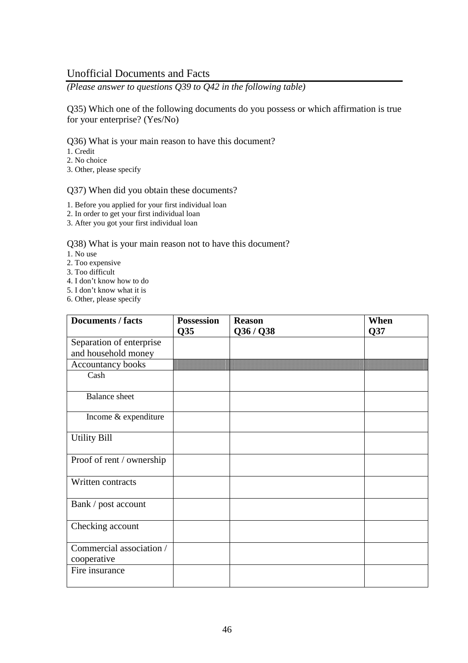### Unofficial Documents and Facts

*(Please answer to questions Q39 to Q42 in the following table)* 

Q35) Which one of the following documents do you possess or which affirmation is true for your enterprise? (Yes/No)

Q36) What is your main reason to have this document?

- 1. Credit
- 2. No choice
- 3. Other, please specify

### Q37) When did you obtain these documents?

- 1. Before you applied for your first individual loan
- 2. In order to get your first individual loan
- 3. After you got your first individual loan

### Q38) What is your main reason not to have this document?

- 1. No use
- 2. Too expensive
- 3. Too difficult
- 4. I don't know how to do
- 5. I don't know what it is
- 6. Other, please specify

| <b>Documents / facts</b>                | <b>Possession</b> | <b>Reason</b> | When |
|-----------------------------------------|-------------------|---------------|------|
|                                         | Q <sub>35</sub>   | Q36 / Q38     | Q37  |
| Separation of enterprise                |                   |               |      |
| and household money                     |                   |               |      |
| Accountancy books                       |                   |               |      |
| Cash                                    |                   |               |      |
| <b>Balance</b> sheet                    |                   |               |      |
| Income & expenditure                    |                   |               |      |
| <b>Utility Bill</b>                     |                   |               |      |
| Proof of rent / ownership               |                   |               |      |
| Written contracts                       |                   |               |      |
| Bank / post account                     |                   |               |      |
| Checking account                        |                   |               |      |
| Commercial association /<br>cooperative |                   |               |      |
| Fire insurance                          |                   |               |      |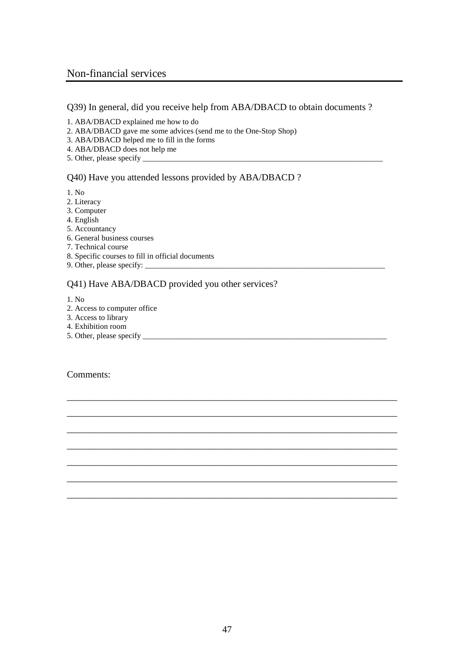### Non-financial services

Q39) In general, did you receive help from ABA/DBACD to obtain documents ?

1. ABA/DBACD explained me how to do

2. ABA/DBACD gave me some advices (send me to the One-Stop Shop)

3. ABA/DBACD helped me to fill in the forms

- 4. ABA/DBACD does not help me
- 5. Other, please specify \_\_\_\_\_\_\_\_\_\_\_\_\_\_\_\_\_\_\_\_\_\_\_\_\_\_\_\_\_\_\_\_\_\_\_\_\_\_\_\_\_\_\_\_\_\_\_\_\_\_\_\_\_\_\_\_\_\_\_\_\_

### Q40) Have you attended lessons provided by ABA/DBACD ?

1. No

- 2. Literacy
- 3. Computer
- 4. English
- 5. Accountancy
- 6. General business courses
- 7. Technical course
- 8. Specific courses to fill in official documents
- 9. Other, please specify:

### Q41) Have ABA/DBACD provided you other services?

1. No

- 2. Access to computer office
- 3. Access to library
- 4. Exhibition room
- 5. Other, please specify

Comments:

\_\_\_\_\_\_\_\_\_\_\_\_\_\_\_\_\_\_\_\_\_\_\_\_\_\_\_\_\_\_\_\_\_\_\_\_\_\_\_\_\_\_\_\_\_\_\_\_\_\_\_\_\_\_\_\_\_\_\_\_\_\_\_\_\_\_\_\_\_\_

\_\_\_\_\_\_\_\_\_\_\_\_\_\_\_\_\_\_\_\_\_\_\_\_\_\_\_\_\_\_\_\_\_\_\_\_\_\_\_\_\_\_\_\_\_\_\_\_\_\_\_\_\_\_\_\_\_\_\_\_\_\_\_\_\_\_\_\_\_\_

\_\_\_\_\_\_\_\_\_\_\_\_\_\_\_\_\_\_\_\_\_\_\_\_\_\_\_\_\_\_\_\_\_\_\_\_\_\_\_\_\_\_\_\_\_\_\_\_\_\_\_\_\_\_\_\_\_\_\_\_\_\_\_\_\_\_\_\_\_\_

\_\_\_\_\_\_\_\_\_\_\_\_\_\_\_\_\_\_\_\_\_\_\_\_\_\_\_\_\_\_\_\_\_\_\_\_\_\_\_\_\_\_\_\_\_\_\_\_\_\_\_\_\_\_\_\_\_\_\_\_\_\_\_\_\_\_\_\_\_\_

\_\_\_\_\_\_\_\_\_\_\_\_\_\_\_\_\_\_\_\_\_\_\_\_\_\_\_\_\_\_\_\_\_\_\_\_\_\_\_\_\_\_\_\_\_\_\_\_\_\_\_\_\_\_\_\_\_\_\_\_\_\_\_\_\_\_\_\_\_\_

\_\_\_\_\_\_\_\_\_\_\_\_\_\_\_\_\_\_\_\_\_\_\_\_\_\_\_\_\_\_\_\_\_\_\_\_\_\_\_\_\_\_\_\_\_\_\_\_\_\_\_\_\_\_\_\_\_\_\_\_\_\_\_\_\_\_\_\_\_\_

\_\_\_\_\_\_\_\_\_\_\_\_\_\_\_\_\_\_\_\_\_\_\_\_\_\_\_\_\_\_\_\_\_\_\_\_\_\_\_\_\_\_\_\_\_\_\_\_\_\_\_\_\_\_\_\_\_\_\_\_\_\_\_\_\_\_\_\_\_\_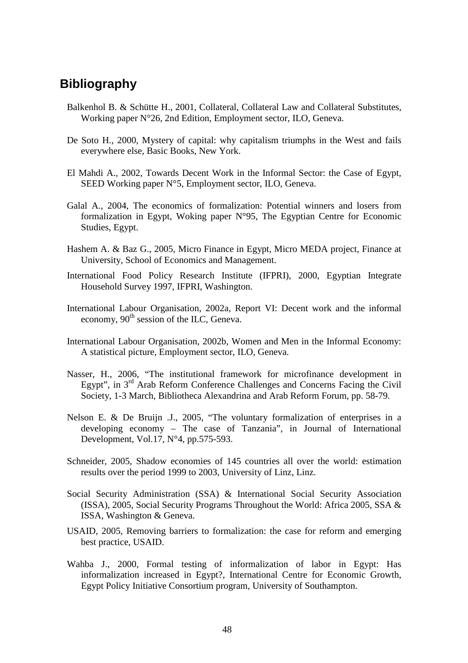## **Bibliography**

- Balkenhol B. & Schütte H., 2001, Collateral, Collateral Law and Collateral Substitutes, Working paper N°26, 2nd Edition, Employment sector, ILO, Geneva.
- De Soto H., 2000, Mystery of capital: why capitalism triumphs in the West and fails everywhere else, Basic Books, New York.
- El Mahdi A., 2002, Towards Decent Work in the Informal Sector: the Case of Egypt, SEED Working paper N°5, Employment sector, ILO, Geneva.
- Galal A., 2004, The economics of formalization: Potential winners and losers from formalization in Egypt, Woking paper N°95, The Egyptian Centre for Economic Studies, Egypt.
- Hashem A. & Baz G., 2005, Micro Finance in Egypt, Micro MEDA project, Finance at University, School of Economics and Management.
- International Food Policy Research Institute (IFPRI), 2000, Egyptian Integrate Household Survey 1997, IFPRI, Washington.
- International Labour Organisation, 2002a, Report VI: Decent work and the informal economy,  $90<sup>th</sup>$  session of the ILC, Geneva.
- International Labour Organisation, 2002b, Women and Men in the Informal Economy: A statistical picture, Employment sector, ILO, Geneva.
- Nasser, H., 2006, "The institutional framework for microfinance development in Egypt", in 3rd Arab Reform Conference Challenges and Concerns Facing the Civil Society, 1-3 March, Bibliotheca Alexandrina and Arab Reform Forum, pp. 58-79.
- Nelson E. & De Bruijn .J., 2005, "The voluntary formalization of enterprises in a developing economy – The case of Tanzania", in Journal of International Development, Vol.17, N°4, pp.575-593.
- Schneider, 2005, Shadow economies of 145 countries all over the world: estimation results over the period 1999 to 2003, University of Linz, Linz.
- Social Security Administration (SSA) & International Social Security Association (ISSA), 2005, Social Security Programs Throughout the World: Africa 2005, SSA & ISSA, Washington & Geneva.
- USAID, 2005, Removing barriers to formalization: the case for reform and emerging best practice, USAID.
- Wahba J., 2000, Formal testing of informalization of labor in Egypt: Has informalization increased in Egypt?, International Centre for Economic Growth, Egypt Policy Initiative Consortium program, University of Southampton.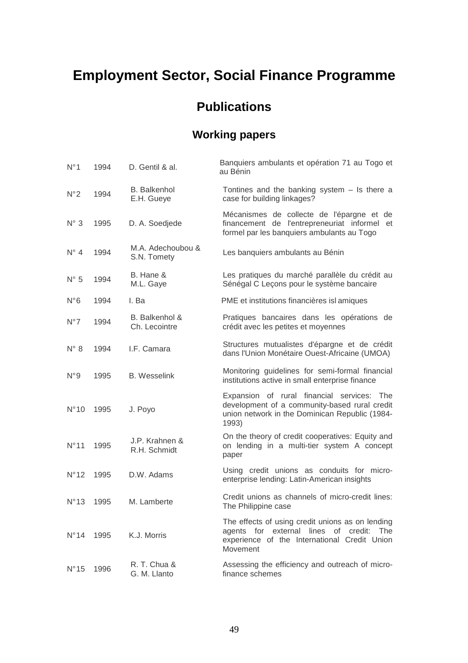# **Employment Sector, Social Finance Programme**

## **Publications**

## **Working papers**

| $N^{\circ}1$  | 1994 | D. Gentil & al.                   | Banquiers ambulants et opération 71 au Togo et<br>au Bénin                                                                                               |
|---------------|------|-----------------------------------|----------------------------------------------------------------------------------------------------------------------------------------------------------|
| $N^{\circ}2$  | 1994 | <b>B.</b> Balkenhol<br>E.H. Gueye | Tontines and the banking system $-$ Is there a<br>case for building linkages?                                                                            |
| $N^{\circ}$ 3 | 1995 | D. A. Soedjede                    | Mécanismes de collecte de l'épargne et de<br>financement de l'entrepreneuriat informel et<br>formel par les banquiers ambulants au Togo                  |
| $N^{\circ}$ 4 | 1994 | M.A. Adechoubou &<br>S.N. Tomety  | Les banquiers ambulants au Bénin                                                                                                                         |
| $N^{\circ}$ 5 | 1994 | B. Hane &<br>M.L. Gaye            | Les pratiques du marché parallèle du crédit au<br>Sénégal C Leçons pour le système bancaire                                                              |
| $N^{\circ}6$  | 1994 | I. Ba                             | PME et institutions financières isl amiques                                                                                                              |
| $N^{\circ}7$  | 1994 | B. Balkenhol &<br>Ch. Lecointre   | Pratiques bancaires dans les opérations de<br>crédit avec les petites et moyennes                                                                        |
| $N^{\circ}$ 8 | 1994 | I.F. Camara                       | Structures mutualistes d'épargne et de crédit<br>dans l'Union Monétaire Ouest-Africaine (UMOA)                                                           |
| N°9           | 1995 | <b>B.</b> Wesselink               | Monitoring guidelines for semi-formal financial<br>institutions active in small enterprise finance                                                       |
| $N^{\circ}10$ | 1995 | J. Poyo                           | Expansion of rural financial services: The<br>development of a community-based rural credit<br>union network in the Dominican Republic (1984-<br>1993)   |
| N°11          | 1995 | J.P. Krahnen &<br>R.H. Schmidt    | On the theory of credit cooperatives: Equity and<br>on lending in a multi-tier system A concept<br>paper                                                 |
| $N^{\circ}12$ | 1995 | D.W. Adams                        | Using credit unions as conduits for micro-<br>enterprise lending: Latin-American insights                                                                |
| $N^{\circ}13$ | 1995 | M. Lamberte                       | Credit unions as channels of micro-credit lines:<br>The Philippine case                                                                                  |
| $N^{\circ}14$ | 1995 | K.J. Morris                       | The effects of using credit unions as on lending<br>agents for external lines of credit: The<br>experience of the International Credit Union<br>Movement |
| $N^{\circ}15$ | 1996 | R. T. Chua &<br>G. M. Llanto      | Assessing the efficiency and outreach of micro-<br>finance schemes                                                                                       |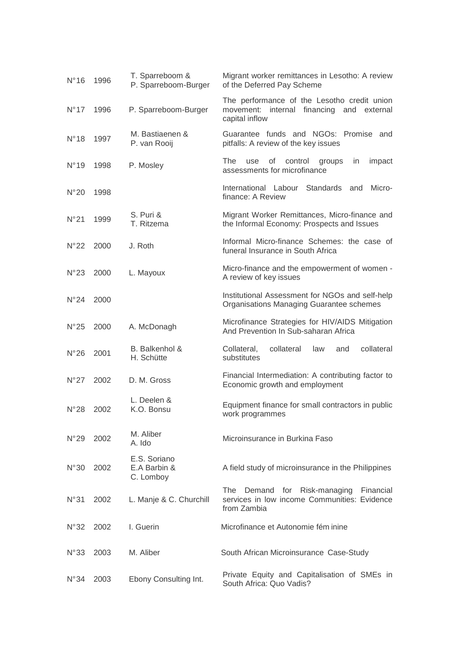| $N^{\circ}16$ | 1996 | T. Sparreboom &<br>P. Sparreboom-Burger   | Migrant worker remittances in Lesotho: A review<br>of the Deferred Pay Scheme                                          |
|---------------|------|-------------------------------------------|------------------------------------------------------------------------------------------------------------------------|
| $N^{\circ}17$ | 1996 | P. Sparreboom-Burger                      | The performance of the Lesotho credit union<br>internal<br>movement:<br>financing<br>and<br>external<br>capital inflow |
| $N^{\circ}18$ | 1997 | M. Bastiaenen &<br>P. van Rooij           | Guarantee funds and NGOs: Promise and<br>pitfalls: A review of the key issues                                          |
| $N^{\circ}19$ | 1998 | P. Mosley                                 | The<br>control<br>of<br>groups<br>in<br>impact<br>use<br>assessments for microfinance                                  |
| $N^{\circ}20$ | 1998 |                                           | <b>Standards</b><br>International Labour<br>Micro-<br>and<br>finance: A Review                                         |
| N°21          | 1999 | S. Puri &<br>T. Ritzema                   | Migrant Worker Remittances, Micro-finance and<br>the Informal Economy: Prospects and Issues                            |
| $N^{\circ}22$ | 2000 | J. Roth                                   | Informal Micro-finance Schemes: the case of<br>funeral Insurance in South Africa                                       |
| $N^{\circ}23$ | 2000 | L. Mayoux                                 | Micro-finance and the empowerment of women -<br>A review of key issues                                                 |
| $N^{\circ}24$ | 2000 |                                           | Institutional Assessment for NGOs and self-help<br><b>Organisations Managing Guarantee schemes</b>                     |
| $N^{\circ}25$ | 2000 | A. McDonagh                               | Microfinance Strategies for HIV/AIDS Mitigation<br>And Prevention In Sub-saharan Africa                                |
| $N^{\circ}26$ | 2001 | B. Balkenhol &<br>H. Schütte              | Collateral,<br>collateral<br>collateral<br>law<br>and<br>substitutes                                                   |
| $N^{\circ}27$ | 2002 | D. M. Gross                               | Financial Intermediation: A contributing factor to<br>Economic growth and employment                                   |
| $N^{\circ}28$ | 2002 | L. Deelen &<br>K.O. Bonsu                 | Equipment finance for small contractors in public<br>work programmes                                                   |
| $N^{\circ}29$ | 2002 | M. Aliber<br>A. Ido                       | Microinsurance in Burkina Faso                                                                                         |
| N°30          | 2002 | E.S. Soriano<br>E.A Barbin &<br>C. Lomboy | A field study of microinsurance in the Philippines                                                                     |
| N°31          | 2002 | L. Manje & C. Churchill                   | Demand for Risk-managing<br>Financial<br>The<br>services in low income Communities: Evidence<br>from Zambia            |
| N°32          | 2002 | I. Guerin                                 | Microfinance et Autonomie fém inine                                                                                    |
| $N^{\circ}33$ | 2003 | M. Aliber                                 | South African Microinsurance Case-Study                                                                                |
| N°34          | 2003 | Ebony Consulting Int.                     | Private Equity and Capitalisation of SMEs in<br>South Africa: Quo Vadis?                                               |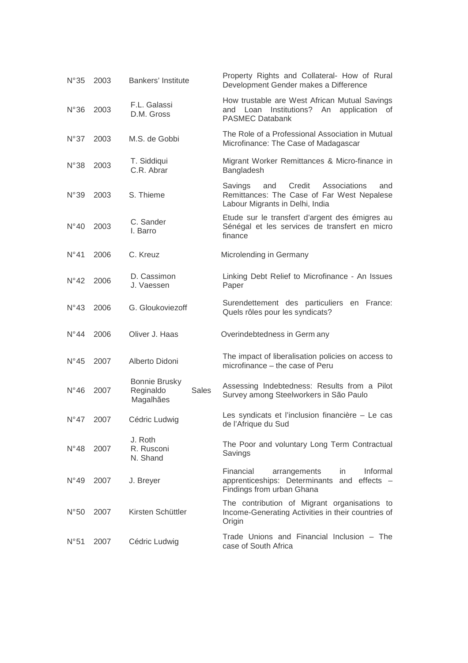| N°35          | 2003 | Bankers' Institute                                             | Property Rights and Collateral- How of Rural<br>Development Gender makes a Difference                                            |
|---------------|------|----------------------------------------------------------------|----------------------------------------------------------------------------------------------------------------------------------|
| N°36          | 2003 | F.L. Galassi<br>D.M. Gross                                     | How trustable are West African Mutual Savings<br>and Loan Institutions? An application of<br><b>PASMEC Databank</b>              |
| N°37          | 2003 | M.S. de Gobbi                                                  | The Role of a Professional Association in Mutual<br>Microfinance: The Case of Madagascar                                         |
| N°38          | 2003 | T. Siddiqui<br>C.R. Abrar                                      | Migrant Worker Remittances & Micro-finance in<br>Bangladesh                                                                      |
| N°39          | 2003 | S. Thieme                                                      | Savings<br>Credit<br>Associations<br>and<br>and<br>Remittances: The Case of Far West Nepalese<br>Labour Migrants in Delhi, India |
| $N^{\circ}40$ | 2003 | C. Sander<br>I. Barro                                          | Etude sur le transfert d'argent des émigres au<br>Sénégal et les services de transfert en micro<br>finance                       |
| N°41          | 2006 | C. Kreuz                                                       | Microlending in Germany                                                                                                          |
| $N^{\circ}42$ | 2006 | D. Cassimon<br>J. Vaessen                                      | Linking Debt Relief to Microfinance - An Issues<br>Paper                                                                         |
| $N^{\circ}43$ | 2006 | G. Gloukoviezoff                                               | Surendettement des particuliers en France:<br>Quels rôles pour les syndicats?                                                    |
| $N^{\circ}44$ | 2006 | Oliver J. Haas                                                 | Overindebtedness in Germ any                                                                                                     |
| $N^{\circ}45$ | 2007 | Alberto Didoni                                                 | The impact of liberalisation policies on access to<br>microfinance - the case of Peru                                            |
| $N^{\circ}46$ | 2007 | <b>Bonnie Brusky</b><br>Reginaldo<br><b>Sales</b><br>Magalhães | Assessing Indebtedness: Results from a Pilot<br>Survey among Steelworkers in São Paulo                                           |
| $N^{\circ}47$ | 2007 | Cédric Ludwig                                                  | Les syndicats et l'inclusion financière - Le cas<br>de l'Afrique du Sud                                                          |
| $N^{\circ}48$ | 2007 | J. Roth<br>R. Rusconi<br>N. Shand                              | The Poor and voluntary Long Term Contractual<br>Savings                                                                          |
| $N^{\circ}49$ | 2007 | J. Breyer                                                      | Informal<br>Financial<br>in<br>arrangements<br>apprenticeships: Determinants<br>and effects $-$<br>Findings from urban Ghana     |
| N°50          | 2007 | Kirsten Schüttler                                              | The contribution of Migrant organisations to<br>Income-Generating Activities in their countries of<br>Origin                     |
| N°51          | 2007 | Cédric Ludwig                                                  | Trade Unions and Financial Inclusion - The<br>case of South Africa                                                               |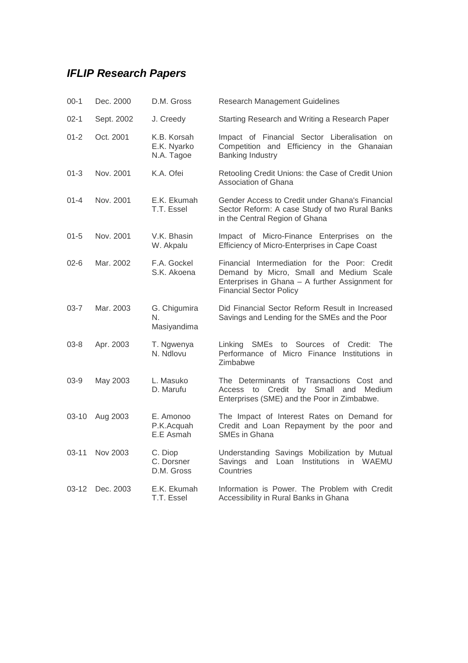## **IFLIP Research Papers**

| $00-1$    | Dec. 2000  | D.M. Gross                               | <b>Research Management Guidelines</b>                                                                                                                                         |
|-----------|------------|------------------------------------------|-------------------------------------------------------------------------------------------------------------------------------------------------------------------------------|
| $02 - 1$  | Sept. 2002 | J. Creedy                                | Starting Research and Writing a Research Paper                                                                                                                                |
| $01 - 2$  | Oct. 2001  | K.B. Korsah<br>E.K. Nyarko<br>N.A. Tagoe | Impact of Financial Sector Liberalisation on<br>Competition and Efficiency in the Ghanaian<br>Banking Industry                                                                |
| $01 - 3$  | Nov. 2001  | K.A. Ofei                                | Retooling Credit Unions: the Case of Credit Union<br>Association of Ghana                                                                                                     |
| 01-4      | Nov. 2001  | E.K. Ekumah<br>T.T. Essel                | Gender Access to Credit under Ghana's Financial<br>Sector Reform: A case Study of two Rural Banks<br>in the Central Region of Ghana                                           |
| $01 - 5$  | Nov. 2001  | V.K. Bhasin<br>W. Akpalu                 | Impact of Micro-Finance Enterprises on the<br>Efficiency of Micro-Enterprises in Cape Coast                                                                                   |
| $02 - 6$  | Mar. 2002  | F.A. Gockel<br>S.K. Akoena               | Financial Intermediation for the Poor: Credit<br>Demand by Micro, Small and Medium Scale<br>Enterprises in Ghana - A further Assignment for<br><b>Financial Sector Policy</b> |
| 03-7      | Mar. 2003  | G. Chigumira<br>N.<br>Masiyandima        | Did Financial Sector Reform Result in Increased<br>Savings and Lending for the SMEs and the Poor                                                                              |
| $03 - 8$  | Apr. 2003  | T. Ngwenya<br>N. Ndlovu                  | Linking SMEs to Sources<br>of Credit:<br>The<br>Performance of Micro Finance Institutions in<br>Zimbabwe                                                                      |
| $03-9$    | May 2003   | L. Masuko<br>D. Marufu                   | The Determinants of Transactions Cost and<br>Credit by Small and Medium<br>Access<br>to<br>Enterprises (SME) and the Poor in Zimbabwe.                                        |
| $03 - 10$ | Aug 2003   | E. Amonoo<br>P.K.Acquah<br>E.E Asmah     | The Impact of Interest Rates on Demand for<br>Credit and Loan Repayment by the poor and<br><b>SMEs in Ghana</b>                                                               |
| $03 - 11$ | Nov 2003   | C. Diop<br>C. Dorsner<br>D.M. Gross      | Understanding Savings Mobilization by Mutual<br>Savings<br>Institutions<br>in WAEMU<br>and<br>Loan<br>Countries                                                               |
| $03 - 12$ | Dec. 2003  | E.K. Ekumah<br>T.T. Essel                | Information is Power. The Problem with Credit<br>Accessibility in Rural Banks in Ghana                                                                                        |